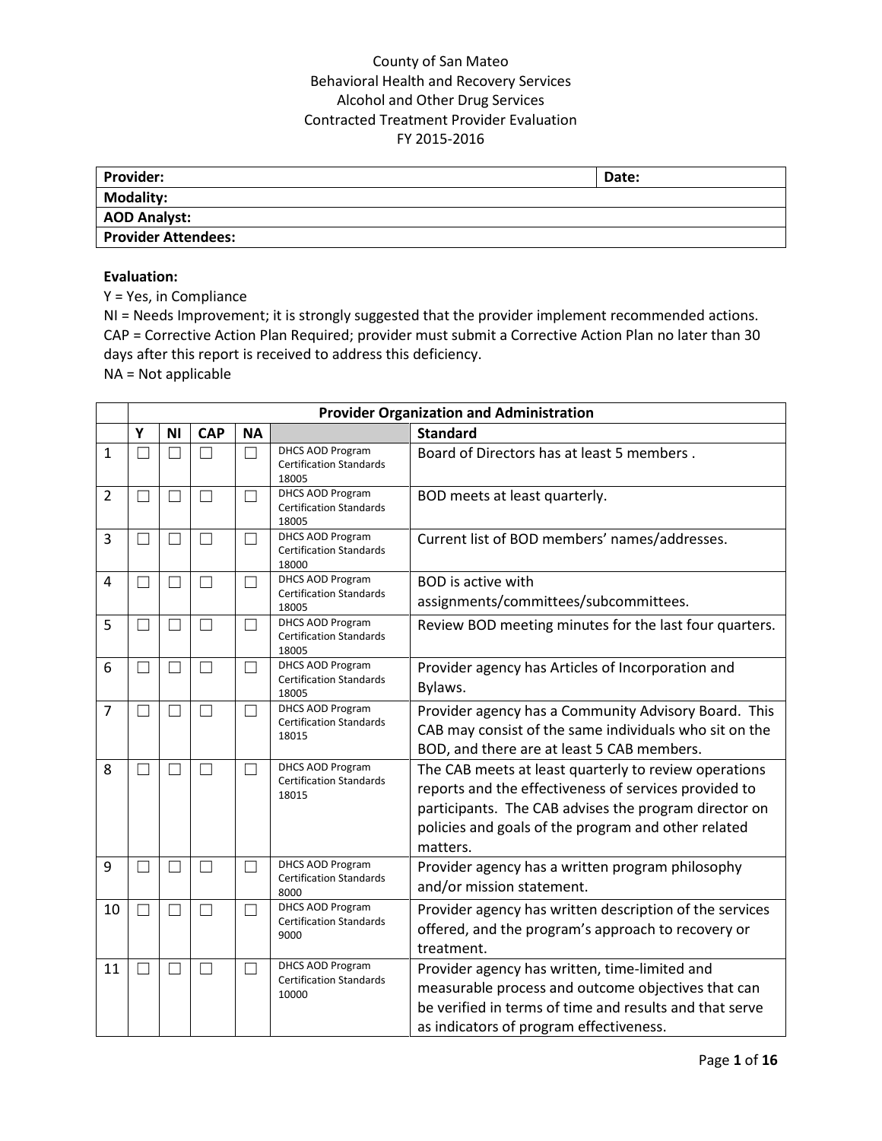| <b>Provider:</b>           | Date: |
|----------------------------|-------|
| Modality:                  |       |
| AOD Analyst:               |       |
| <b>Provider Attendees:</b> |       |

#### **Evaluation:**

Y = Yes, in Compliance

NI = Needs Improvement; it is strongly suggested that the provider implement recommended actions. CAP = Corrective Action Plan Required; provider must submit a Corrective Action Plan no later than 30 days after this report is received to address this deficiency.

NA = Not applicable

|                |   | <b>Provider Organization and Administration</b> |               |           |                                                                    |                                                                                                                                                                                                                                            |  |  |  |  |  |
|----------------|---|-------------------------------------------------|---------------|-----------|--------------------------------------------------------------------|--------------------------------------------------------------------------------------------------------------------------------------------------------------------------------------------------------------------------------------------|--|--|--|--|--|
|                | Y | <b>NI</b>                                       | <b>CAP</b>    | <b>NA</b> |                                                                    | <b>Standard</b>                                                                                                                                                                                                                            |  |  |  |  |  |
| 1              |   |                                                 |               |           | <b>DHCS AOD Program</b><br><b>Certification Standards</b><br>18005 | Board of Directors has at least 5 members.                                                                                                                                                                                                 |  |  |  |  |  |
| $\overline{2}$ |   |                                                 |               |           | DHCS AOD Program<br><b>Certification Standards</b><br>18005        | BOD meets at least quarterly.                                                                                                                                                                                                              |  |  |  |  |  |
| 3              |   |                                                 |               |           | DHCS AOD Program<br><b>Certification Standards</b><br>18000        | Current list of BOD members' names/addresses.                                                                                                                                                                                              |  |  |  |  |  |
| 4              |   |                                                 |               |           | <b>DHCS AOD Program</b><br><b>Certification Standards</b><br>18005 | <b>BOD</b> is active with<br>assignments/committees/subcommittees.                                                                                                                                                                         |  |  |  |  |  |
| 5              |   |                                                 | $\mathcal{L}$ |           | <b>DHCS AOD Program</b><br><b>Certification Standards</b><br>18005 | Review BOD meeting minutes for the last four quarters.                                                                                                                                                                                     |  |  |  |  |  |
| 6              |   |                                                 |               |           | DHCS AOD Program<br><b>Certification Standards</b><br>18005        | Provider agency has Articles of Incorporation and<br>Bylaws.                                                                                                                                                                               |  |  |  |  |  |
| $\overline{7}$ |   |                                                 | $\mathcal{L}$ | - 1       | <b>DHCS AOD Program</b><br><b>Certification Standards</b><br>18015 | Provider agency has a Community Advisory Board. This<br>CAB may consist of the same individuals who sit on the<br>BOD, and there are at least 5 CAB members.                                                                               |  |  |  |  |  |
| 8              |   | П                                               | $\mathbf{L}$  |           | DHCS AOD Program<br><b>Certification Standards</b><br>18015        | The CAB meets at least quarterly to review operations<br>reports and the effectiveness of services provided to<br>participants. The CAB advises the program director on<br>policies and goals of the program and other related<br>matters. |  |  |  |  |  |
| 9              |   |                                                 |               |           | DHCS AOD Program<br><b>Certification Standards</b><br>8000         | Provider agency has a written program philosophy<br>and/or mission statement.                                                                                                                                                              |  |  |  |  |  |
| 10             |   |                                                 |               | ٦         | DHCS AOD Program<br><b>Certification Standards</b><br>9000         | Provider agency has written description of the services<br>offered, and the program's approach to recovery or<br>treatment.                                                                                                                |  |  |  |  |  |
| 11             |   |                                                 |               | e e       | DHCS AOD Program<br><b>Certification Standards</b><br>10000        | Provider agency has written, time-limited and<br>measurable process and outcome objectives that can<br>be verified in terms of time and results and that serve<br>as indicators of program effectiveness.                                  |  |  |  |  |  |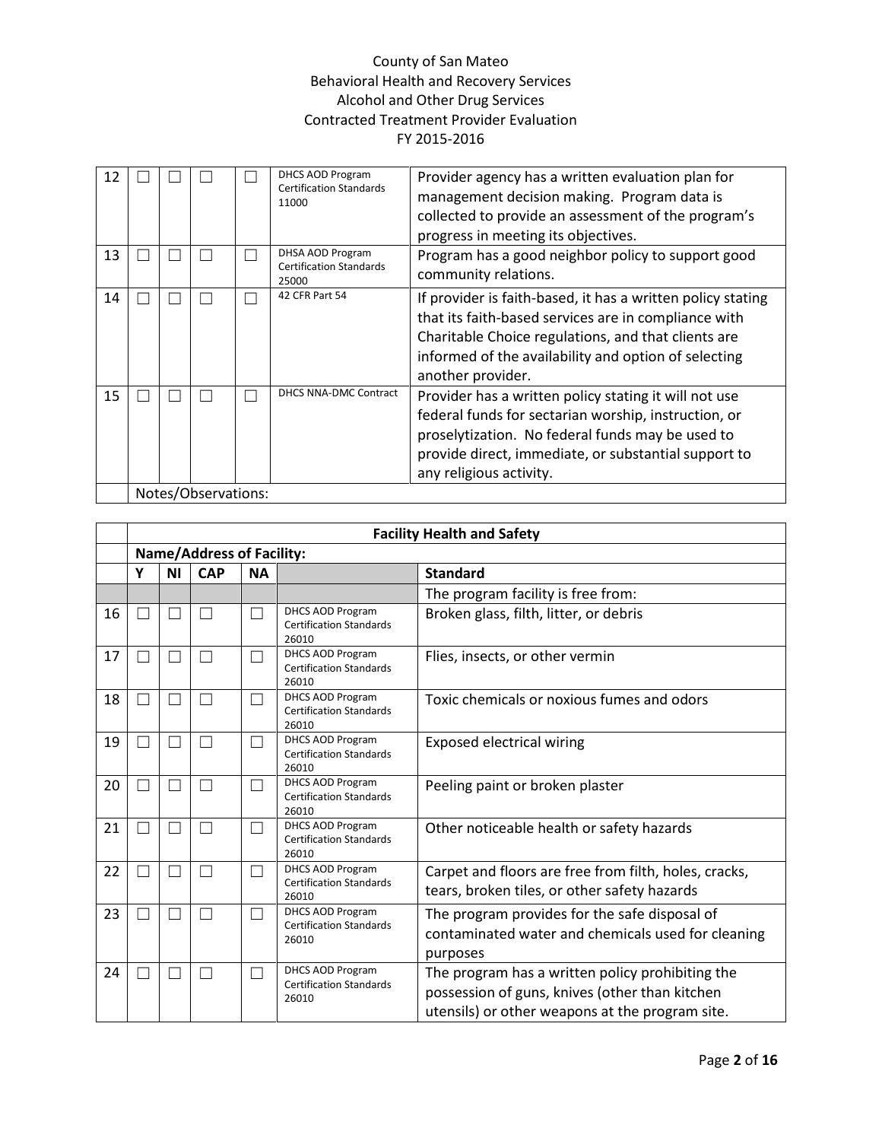| 12 |  |                     | DHCS AOD Program<br><b>Certification Standards</b><br>11000 | Provider agency has a written evaluation plan for<br>management decision making. Program data is<br>collected to provide an assessment of the program's<br>progress in meeting its objectives.                                                          |
|----|--|---------------------|-------------------------------------------------------------|---------------------------------------------------------------------------------------------------------------------------------------------------------------------------------------------------------------------------------------------------------|
| 13 |  |                     | DHSA AOD Program<br><b>Certification Standards</b><br>25000 | Program has a good neighbor policy to support good<br>community relations.                                                                                                                                                                              |
| 14 |  |                     | 42 CFR Part 54                                              | If provider is faith-based, it has a written policy stating<br>that its faith-based services are in compliance with<br>Charitable Choice regulations, and that clients are<br>informed of the availability and option of selecting<br>another provider. |
| 15 |  |                     | DHCS NNA-DMC Contract                                       | Provider has a written policy stating it will not use<br>federal funds for sectarian worship, instruction, or<br>proselytization. No federal funds may be used to<br>provide direct, immediate, or substantial support to<br>any religious activity.    |
|    |  | Notes/Observations: |                                                             |                                                                                                                                                                                                                                                         |

|    | <b>Facility Health and Safety</b> |    |               |           |                                                                    |                                                                                                                                                       |  |  |  |
|----|-----------------------------------|----|---------------|-----------|--------------------------------------------------------------------|-------------------------------------------------------------------------------------------------------------------------------------------------------|--|--|--|
|    | <b>Name/Address of Facility:</b>  |    |               |           |                                                                    |                                                                                                                                                       |  |  |  |
|    | Υ                                 | ΝI | <b>CAP</b>    | <b>NA</b> |                                                                    | <b>Standard</b>                                                                                                                                       |  |  |  |
|    |                                   |    |               |           |                                                                    | The program facility is free from:                                                                                                                    |  |  |  |
| 16 |                                   |    |               |           | <b>DHCS AOD Program</b><br><b>Certification Standards</b><br>26010 | Broken glass, filth, litter, or debris                                                                                                                |  |  |  |
| 17 |                                   |    | $\mathcal{L}$ |           | DHCS AOD Program<br><b>Certification Standards</b><br>26010        | Flies, insects, or other vermin                                                                                                                       |  |  |  |
| 18 |                                   |    | ┓             |           | <b>DHCS AOD Program</b><br><b>Certification Standards</b><br>26010 | Toxic chemicals or noxious fumes and odors                                                                                                            |  |  |  |
| 19 |                                   |    | ┑             |           | <b>DHCS AOD Program</b><br><b>Certification Standards</b><br>26010 | <b>Exposed electrical wiring</b>                                                                                                                      |  |  |  |
| 20 |                                   |    | $\mathcal{L}$ |           | DHCS AOD Program<br><b>Certification Standards</b><br>26010        | Peeling paint or broken plaster                                                                                                                       |  |  |  |
| 21 |                                   |    | ┑             |           | <b>DHCS AOD Program</b><br><b>Certification Standards</b><br>26010 | Other noticeable health or safety hazards                                                                                                             |  |  |  |
| 22 |                                   |    | ┓             |           | DHCS AOD Program<br><b>Certification Standards</b><br>26010        | Carpet and floors are free from filth, holes, cracks,<br>tears, broken tiles, or other safety hazards                                                 |  |  |  |
| 23 |                                   |    | ٦             |           | <b>DHCS AOD Program</b><br><b>Certification Standards</b><br>26010 | The program provides for the safe disposal of<br>contaminated water and chemicals used for cleaning<br>purposes                                       |  |  |  |
| 24 |                                   |    |               |           | DHCS AOD Program<br><b>Certification Standards</b><br>26010        | The program has a written policy prohibiting the<br>possession of guns, knives (other than kitchen<br>utensils) or other weapons at the program site. |  |  |  |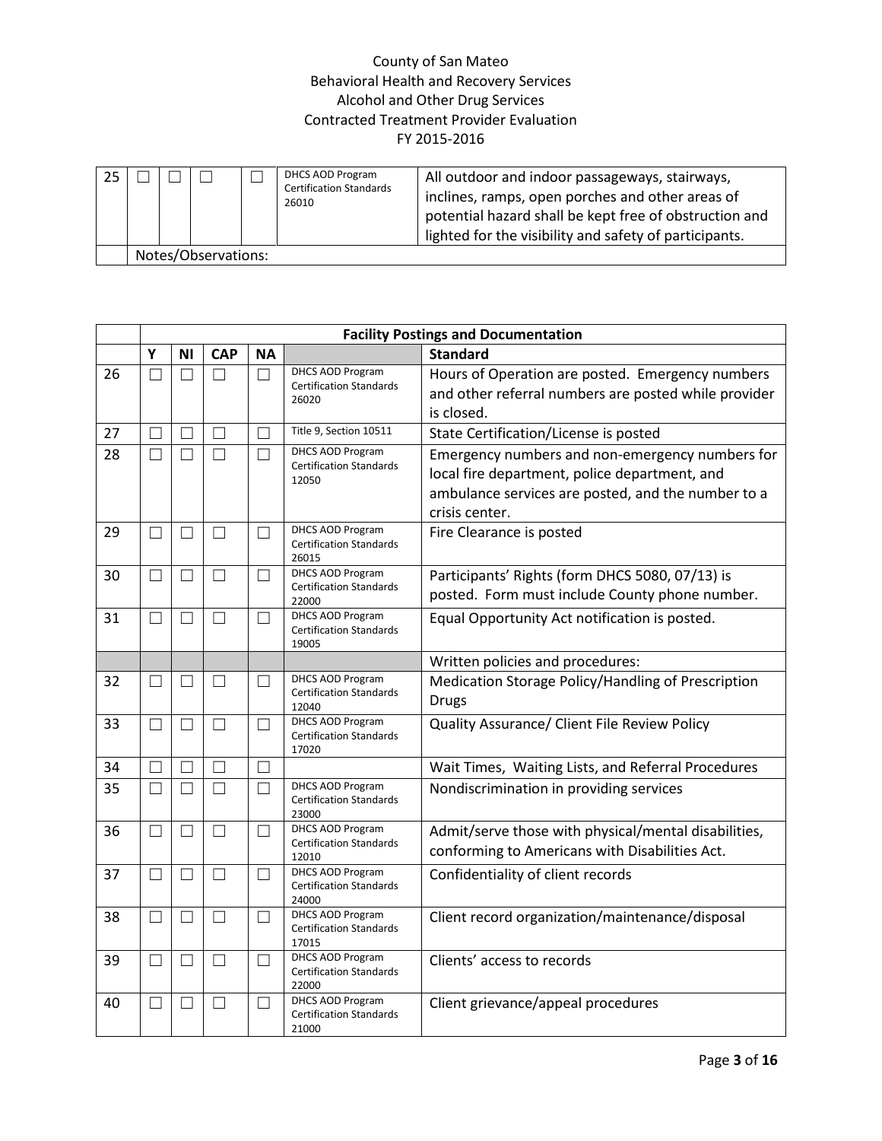| 25 |                     |  |  |  | DHCS AOD Program<br><b>Certification Standards</b><br>26010 | All outdoor and indoor passageways, stairways,<br>inclines, ramps, open porches and other areas of<br>potential hazard shall be kept free of obstruction and<br>lighted for the visibility and safety of participants. |  |  |
|----|---------------------|--|--|--|-------------------------------------------------------------|------------------------------------------------------------------------------------------------------------------------------------------------------------------------------------------------------------------------|--|--|
|    | Notes/Observations: |  |  |  |                                                             |                                                                                                                                                                                                                        |  |  |

|    | <b>Facility Postings and Documentation</b> |           |                   |                          |                                                                    |                                                                                                                                                                          |  |  |  |
|----|--------------------------------------------|-----------|-------------------|--------------------------|--------------------------------------------------------------------|--------------------------------------------------------------------------------------------------------------------------------------------------------------------------|--|--|--|
|    | Υ                                          | ΝI        | <b>CAP</b>        | ΝA                       |                                                                    | <b>Standard</b>                                                                                                                                                          |  |  |  |
| 26 | $\Box$                                     | П         | П                 | П                        | <b>DHCS AOD Program</b><br><b>Certification Standards</b><br>26020 | Hours of Operation are posted. Emergency numbers<br>and other referral numbers are posted while provider<br>is closed.                                                   |  |  |  |
| 27 | П                                          | $\Box$    | $\Box$            | П                        | Title 9, Section 10511                                             | State Certification/License is posted                                                                                                                                    |  |  |  |
| 28 | $\Box$                                     | $\Box$    | П                 | П                        | DHCS AOD Program<br><b>Certification Standards</b><br>12050        | Emergency numbers and non-emergency numbers for<br>local fire department, police department, and<br>ambulance services are posted, and the number to a<br>crisis center. |  |  |  |
| 29 | П                                          | П         | ΓI                | $\Box$                   | <b>DHCS AOD Program</b><br><b>Certification Standards</b><br>26015 | Fire Clearance is posted                                                                                                                                                 |  |  |  |
| 30 | $\vert \ \ \vert$                          | $\Box$    | П                 | П                        | DHCS AOD Program<br><b>Certification Standards</b><br>22000        | Participants' Rights (form DHCS 5080, 07/13) is<br>posted. Form must include County phone number.                                                                        |  |  |  |
| 31 | $\Box$                                     | П         | $\Box$            | П                        | DHCS AOD Program<br><b>Certification Standards</b><br>19005        | Equal Opportunity Act notification is posted.                                                                                                                            |  |  |  |
|    |                                            |           |                   |                          |                                                                    | Written policies and procedures:                                                                                                                                         |  |  |  |
| 32 | Ш                                          | $\Box$    | $\Box$            | $\vert \ \ \vert$        | DHCS AOD Program<br><b>Certification Standards</b><br>12040        | Medication Storage Policy/Handling of Prescription<br><b>Drugs</b>                                                                                                       |  |  |  |
| 33 | П                                          | $\Box$    | $\Box$            | $\vert \ \ \vert$        | <b>DHCS AOD Program</b><br><b>Certification Standards</b><br>17020 | Quality Assurance/ Client File Review Policy                                                                                                                             |  |  |  |
| 34 | П                                          | П         | $\Box$            | $\Box$                   |                                                                    | Wait Times, Waiting Lists, and Referral Procedures                                                                                                                       |  |  |  |
| 35 | $\Box$                                     | П         | $\Box$            | П                        | DHCS AOD Program<br><b>Certification Standards</b><br>23000        | Nondiscrimination in providing services                                                                                                                                  |  |  |  |
| 36 | $\Box$                                     | $\Box$    | П                 | $\overline{\phantom{0}}$ | <b>DHCS AOD Program</b><br><b>Certification Standards</b><br>12010 | Admit/serve those with physical/mental disabilities,<br>conforming to Americans with Disabilities Act.                                                                   |  |  |  |
| 37 | $\Box$                                     | $\Box$    | $\Box$            | П                        | DHCS AOD Program<br><b>Certification Standards</b><br>24000        | Confidentiality of client records                                                                                                                                        |  |  |  |
| 38 | $\Box$                                     | $\perp$ 1 | П                 | ×.                       | <b>DHCS AOD Program</b><br><b>Certification Standards</b><br>17015 | Client record organization/maintenance/disposal                                                                                                                          |  |  |  |
| 39 | $\Box$                                     | $\Box$    | $\Box$            | П                        | <b>DHCS AOD Program</b><br><b>Certification Standards</b><br>22000 | Clients' access to records                                                                                                                                               |  |  |  |
| 40 | $\overline{\phantom{a}}$                   | $\Box$    | $\vert \ \ \vert$ | $\overline{\phantom{0}}$ | <b>DHCS AOD Program</b><br><b>Certification Standards</b><br>21000 | Client grievance/appeal procedures                                                                                                                                       |  |  |  |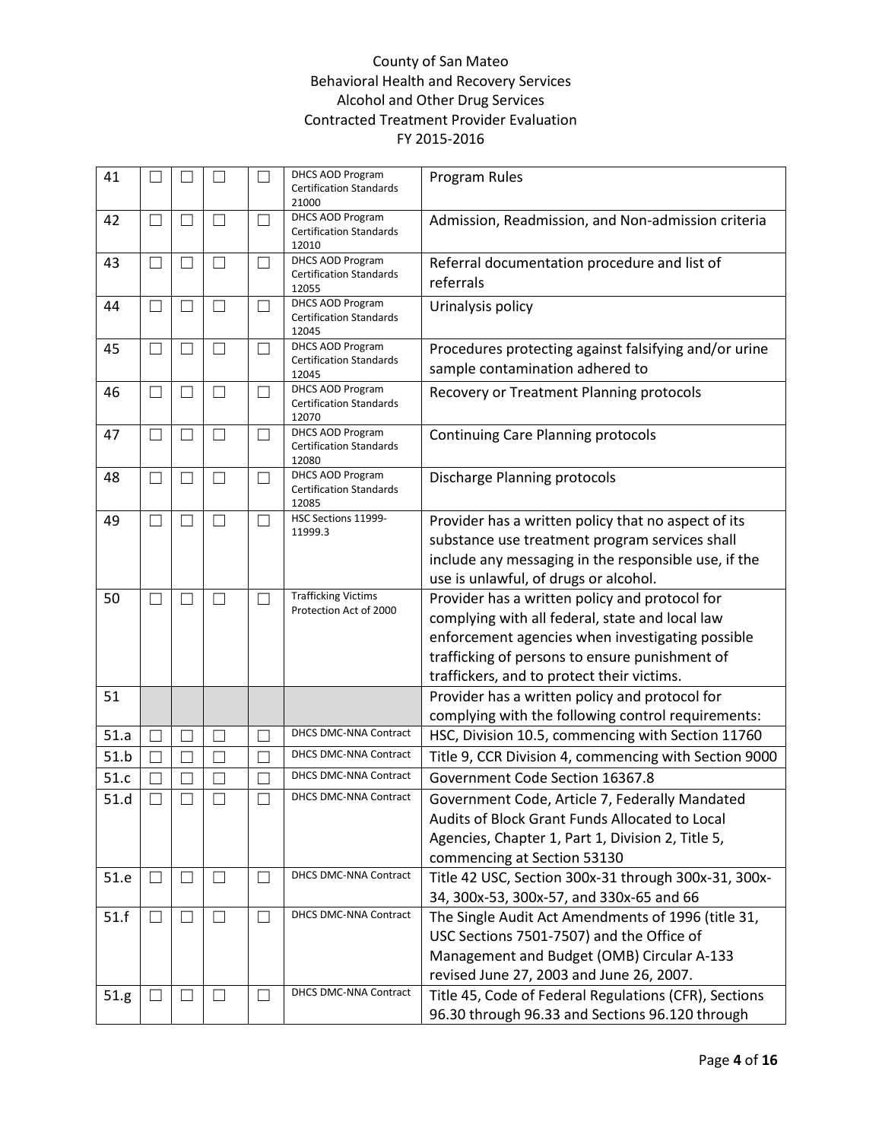| 41   |                   |              |                          |    | <b>DHCS AOD Program</b><br><b>Certification Standards</b><br>21000 | Program Rules                                                                                                                                                                                                                                         |
|------|-------------------|--------------|--------------------------|----|--------------------------------------------------------------------|-------------------------------------------------------------------------------------------------------------------------------------------------------------------------------------------------------------------------------------------------------|
| 42   | $\sim$            | $\mathbf{L}$ | $\mathcal{L}$            |    | <b>DHCS AOD Program</b><br><b>Certification Standards</b><br>12010 | Admission, Readmission, and Non-admission criteria                                                                                                                                                                                                    |
| 43   | $\mathcal{L}$     | $\Box$       | $\mathcal{L}$            |    | DHCS AOD Program<br><b>Certification Standards</b><br>12055        | Referral documentation procedure and list of<br>referrals                                                                                                                                                                                             |
| 44   | П                 | $\Box$       | $\mathcal{L}$            | ×. | <b>DHCS AOD Program</b><br><b>Certification Standards</b><br>12045 | Urinalysis policy                                                                                                                                                                                                                                     |
| 45   | Ш                 | $\Box$       | $\mathcal{L}$            | ×  | <b>DHCS AOD Program</b><br><b>Certification Standards</b><br>12045 | Procedures protecting against falsifying and/or urine<br>sample contamination adhered to                                                                                                                                                              |
| 46   | $\Box$            | $\mathbf{L}$ | ×                        |    | DHCS AOD Program<br><b>Certification Standards</b><br>12070        | Recovery or Treatment Planning protocols                                                                                                                                                                                                              |
| 47   | $\mathcal{L}$     | $\Box$       | ×                        | ×  | <b>DHCS AOD Program</b><br><b>Certification Standards</b><br>12080 | <b>Continuing Care Planning protocols</b>                                                                                                                                                                                                             |
| 48   | $\sim$            | $\Box$       | $\overline{\phantom{a}}$ |    | <b>DHCS AOD Program</b><br><b>Certification Standards</b><br>12085 | Discharge Planning protocols                                                                                                                                                                                                                          |
| 49   | $\Box$            | $\Box$       | $\mathcal{L}$            |    | HSC Sections 11999-<br>11999.3                                     | Provider has a written policy that no aspect of its<br>substance use treatment program services shall<br>include any messaging in the responsible use, if the<br>use is unlawful, of drugs or alcohol.                                                |
| 50   | $\Box$            | $\Box$       | $\mathcal{L}$            | ×. | <b>Trafficking Victims</b><br>Protection Act of 2000               | Provider has a written policy and protocol for<br>complying with all federal, state and local law<br>enforcement agencies when investigating possible<br>trafficking of persons to ensure punishment of<br>traffickers, and to protect their victims. |
| 51   |                   |              |                          |    |                                                                    | Provider has a written policy and protocol for<br>complying with the following control requirements:                                                                                                                                                  |
| 51.a |                   |              |                          |    | DHCS DMC-NNA Contract                                              | HSC, Division 10.5, commencing with Section 11760                                                                                                                                                                                                     |
| 51.b |                   |              |                          |    | DHCS DMC-NNA Contract                                              | Title 9, CCR Division 4, commencing with Section 9000                                                                                                                                                                                                 |
| 51.c |                   |              |                          |    | DHCS DMC-NNA Contract                                              | Government Code Section 16367.8                                                                                                                                                                                                                       |
| 51.d |                   |              |                          |    | DHCS DMC-NNA Contract                                              | Government Code, Article 7, Federally Mandated<br>Audits of Block Grant Funds Allocated to Local<br>Agencies, Chapter 1, Part 1, Division 2, Title 5,<br>commencing at Section 53130                                                                  |
| 51.e | $\perp$           | $\Box$       | ப                        |    | DHCS DMC-NNA Contract                                              | Title 42 USC, Section 300x-31 through 300x-31, 300x-<br>34, 300x-53, 300x-57, and 330x-65 and 66                                                                                                                                                      |
| 51.f | $\vert \ \ \vert$ | ш            | $\mathcal{L}$            |    | DHCS DMC-NNA Contract                                              | The Single Audit Act Amendments of 1996 (title 31,<br>USC Sections 7501-7507) and the Office of<br>Management and Budget (OMB) Circular A-133<br>revised June 27, 2003 and June 26, 2007.                                                             |
| 51.g |                   | ப            |                          |    | DHCS DMC-NNA Contract                                              | Title 45, Code of Federal Regulations (CFR), Sections<br>96.30 through 96.33 and Sections 96.120 through                                                                                                                                              |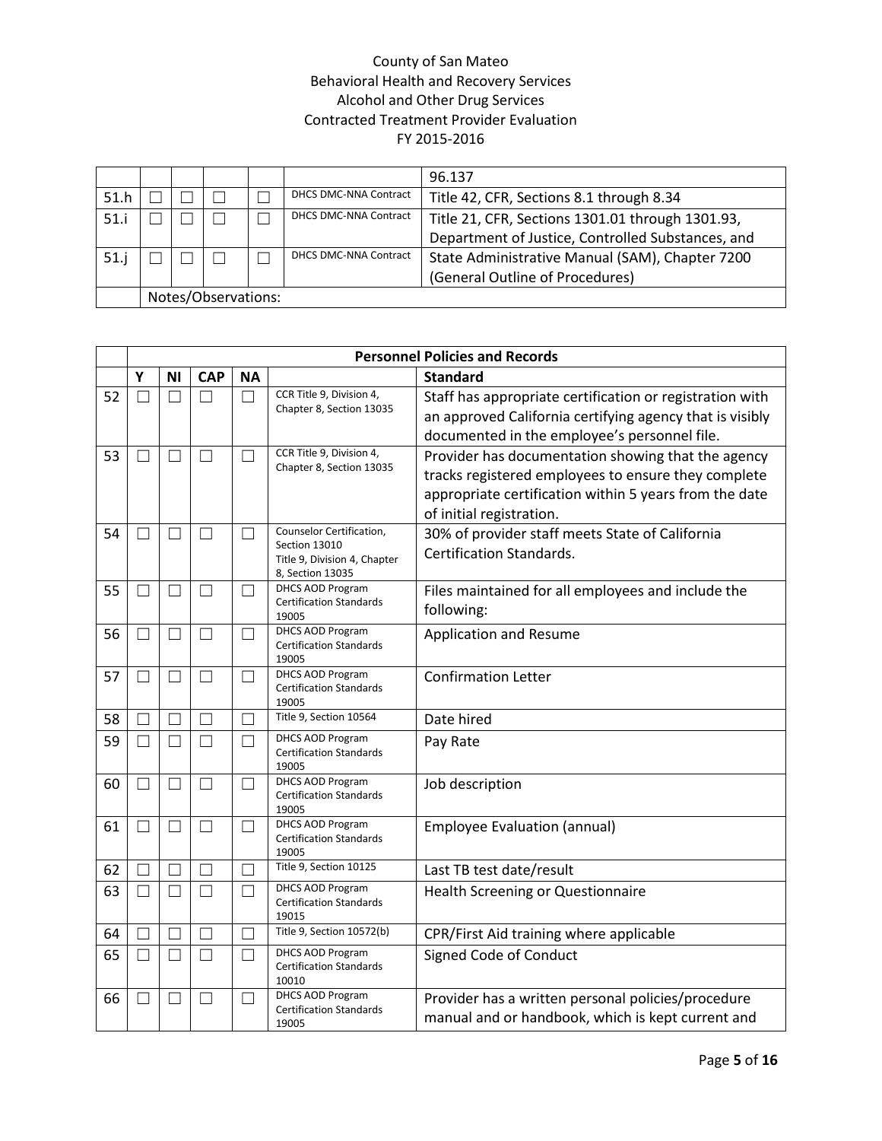|      |                     |  |  |  |                              | 96.137                                            |  |  |
|------|---------------------|--|--|--|------------------------------|---------------------------------------------------|--|--|
| 51.h |                     |  |  |  | <b>DHCS DMC-NNA Contract</b> | Title 42, CFR, Sections 8.1 through 8.34          |  |  |
| 51.i |                     |  |  |  | <b>DHCS DMC-NNA Contract</b> | Title 21, CFR, Sections 1301.01 through 1301.93,  |  |  |
|      |                     |  |  |  |                              | Department of Justice, Controlled Substances, and |  |  |
|      |                     |  |  |  | <b>DHCS DMC-NNA Contract</b> | State Administrative Manual (SAM), Chapter 7200   |  |  |
|      |                     |  |  |  |                              | (General Outline of Procedures)                   |  |  |
|      | Notes/Observations: |  |  |  |                              |                                                   |  |  |

|    |        | <b>Personnel Policies and Records</b> |              |                          |                                                                                               |                                                                                                                                                                                                 |  |  |  |  |  |
|----|--------|---------------------------------------|--------------|--------------------------|-----------------------------------------------------------------------------------------------|-------------------------------------------------------------------------------------------------------------------------------------------------------------------------------------------------|--|--|--|--|--|
|    | Υ      | ΝI                                    | <b>CAP</b>   | <b>NA</b>                |                                                                                               | <b>Standard</b>                                                                                                                                                                                 |  |  |  |  |  |
| 52 |        |                                       |              | П                        | CCR Title 9, Division 4,<br>Chapter 8, Section 13035                                          | Staff has appropriate certification or registration with<br>an approved California certifying agency that is visibly<br>documented in the employee's personnel file.                            |  |  |  |  |  |
| 53 |        |                                       |              |                          | CCR Title 9, Division 4,<br>Chapter 8, Section 13035                                          | Provider has documentation showing that the agency<br>tracks registered employees to ensure they complete<br>appropriate certification within 5 years from the date<br>of initial registration. |  |  |  |  |  |
| 54 |        |                                       | $\mathbf{L}$ |                          | Counselor Certification,<br>Section 13010<br>Title 9, Division 4, Chapter<br>8, Section 13035 | 30% of provider staff meets State of California<br><b>Certification Standards.</b>                                                                                                              |  |  |  |  |  |
| 55 | ٦      | $\Box$                                | $\Box$       | П                        | DHCS AOD Program<br><b>Certification Standards</b><br>19005                                   | Files maintained for all employees and include the<br>following:                                                                                                                                |  |  |  |  |  |
| 56 |        |                                       | $\Box$       |                          | DHCS AOD Program<br><b>Certification Standards</b><br>19005                                   | Application and Resume                                                                                                                                                                          |  |  |  |  |  |
| 57 |        | $\mathbf{I}$                          | П            |                          | <b>DHCS AOD Program</b><br><b>Certification Standards</b><br>19005                            | <b>Confirmation Letter</b>                                                                                                                                                                      |  |  |  |  |  |
| 58 | П      | $\Box$                                | $\Box$       | П                        | Title 9, Section 10564                                                                        | Date hired                                                                                                                                                                                      |  |  |  |  |  |
| 59 | $\Box$ | П                                     | $\Box$       | ┓                        | <b>DHCS AOD Program</b><br><b>Certification Standards</b><br>19005                            | Pay Rate                                                                                                                                                                                        |  |  |  |  |  |
| 60 |        | $\Box$                                | $\Box$       | ┓                        | DHCS AOD Program<br><b>Certification Standards</b><br>19005                                   | Job description                                                                                                                                                                                 |  |  |  |  |  |
| 61 | H      | $\mathbf{L}$                          | $\Box$       | $\Box$                   | DHCS AOD Program<br><b>Certification Standards</b><br>19005                                   | <b>Employee Evaluation (annual)</b>                                                                                                                                                             |  |  |  |  |  |
| 62 |        |                                       |              | $\mathbf{L}$             | Title 9, Section 10125                                                                        | Last TB test date/result                                                                                                                                                                        |  |  |  |  |  |
| 63 |        |                                       | П            | $\overline{\phantom{a}}$ | DHCS AOD Program<br><b>Certification Standards</b><br>19015                                   | <b>Health Screening or Questionnaire</b>                                                                                                                                                        |  |  |  |  |  |
| 64 | ٦      | П                                     | П            | П                        | Title 9, Section 10572(b)                                                                     | CPR/First Aid training where applicable                                                                                                                                                         |  |  |  |  |  |
| 65 |        | П                                     | П            | ┓                        | <b>DHCS AOD Program</b><br><b>Certification Standards</b><br>10010                            | Signed Code of Conduct                                                                                                                                                                          |  |  |  |  |  |
| 66 | $\Box$ | П                                     | П            | $\Box$                   | DHCS AOD Program<br><b>Certification Standards</b><br>19005                                   | Provider has a written personal policies/procedure<br>manual and or handbook, which is kept current and                                                                                         |  |  |  |  |  |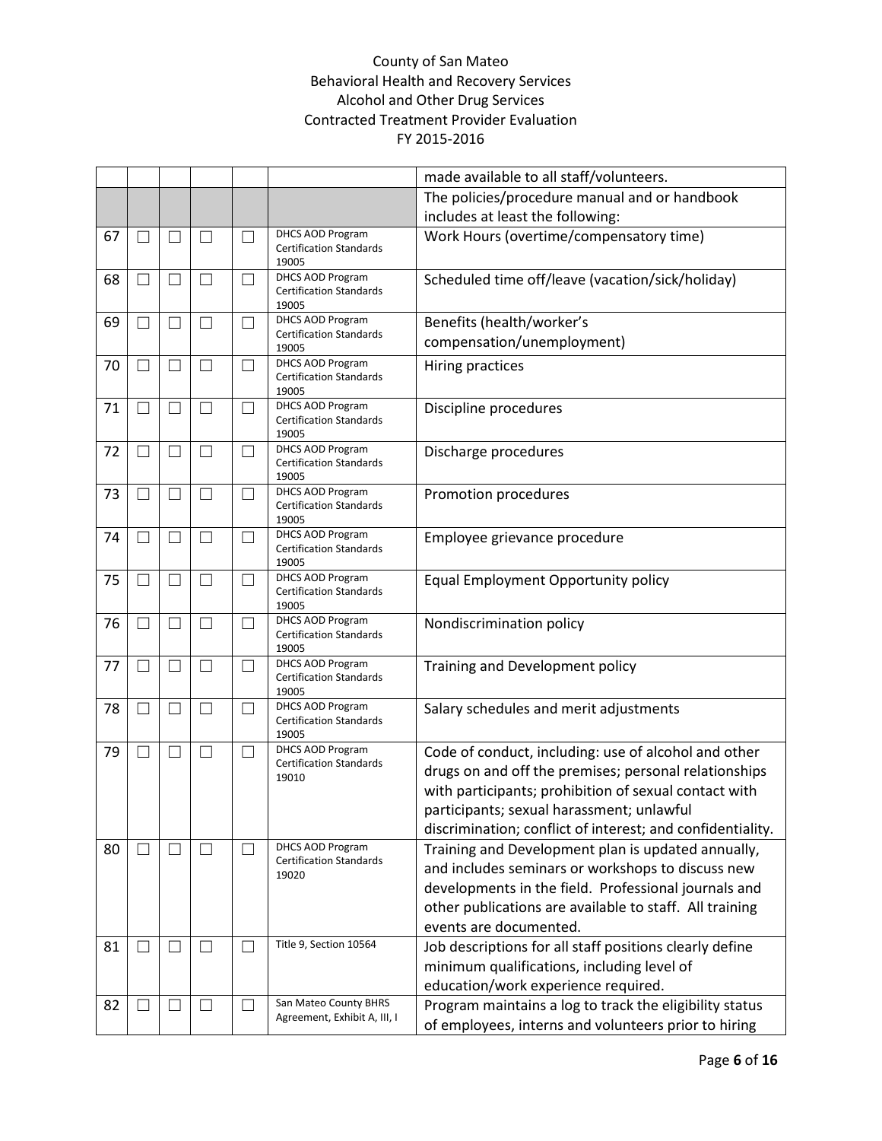|    |               |                          |                   |                          |                                                                    | made available to all staff/volunteers.                                                                                                                                                                                                                                           |
|----|---------------|--------------------------|-------------------|--------------------------|--------------------------------------------------------------------|-----------------------------------------------------------------------------------------------------------------------------------------------------------------------------------------------------------------------------------------------------------------------------------|
|    |               |                          |                   |                          |                                                                    | The policies/procedure manual and or handbook                                                                                                                                                                                                                                     |
|    |               |                          |                   |                          |                                                                    | includes at least the following:                                                                                                                                                                                                                                                  |
| 67 |               |                          | $\vert \ \ \vert$ |                          | <b>DHCS AOD Program</b><br><b>Certification Standards</b><br>19005 | Work Hours (overtime/compensatory time)                                                                                                                                                                                                                                           |
| 68 | $\Box$        | П                        | $\vert \ \ \vert$ | $\blacksquare$           | DHCS AOD Program<br><b>Certification Standards</b><br>19005        | Scheduled time off/leave (vacation/sick/holiday)                                                                                                                                                                                                                                  |
| 69 | - 1           | $\Box$                   | $\Box$            | $\overline{\phantom{a}}$ | <b>DHCS AOD Program</b><br><b>Certification Standards</b>          | Benefits (health/worker's<br>compensation/unemployment)                                                                                                                                                                                                                           |
| 70 | H             | П                        | $\vert \ \ \vert$ | $\overline{\phantom{0}}$ | 19005<br>DHCS AOD Program                                          | Hiring practices                                                                                                                                                                                                                                                                  |
|    |               |                          |                   |                          | <b>Certification Standards</b><br>19005                            |                                                                                                                                                                                                                                                                                   |
| 71 | $\mathcal{L}$ | $\overline{\phantom{a}}$ | $\Box$            | $\overline{\phantom{a}}$ | DHCS AOD Program<br><b>Certification Standards</b><br>19005        | Discipline procedures                                                                                                                                                                                                                                                             |
| 72 | H             | П                        | П                 | $\overline{\phantom{a}}$ | <b>DHCS AOD Program</b><br><b>Certification Standards</b><br>19005 | Discharge procedures                                                                                                                                                                                                                                                              |
| 73 |               | $\overline{\phantom{a}}$ | $\Box$            | $\overline{\phantom{a}}$ | <b>DHCS AOD Program</b><br><b>Certification Standards</b><br>19005 | Promotion procedures                                                                                                                                                                                                                                                              |
| 74 |               | $\overline{\phantom{0}}$ | $\Box$            | $\blacksquare$           | <b>DHCS AOD Program</b><br><b>Certification Standards</b><br>19005 | Employee grievance procedure                                                                                                                                                                                                                                                      |
| 75 |               | $\Box$                   | П                 | $\overline{\phantom{0}}$ | DHCS AOD Program<br><b>Certification Standards</b><br>19005        | Equal Employment Opportunity policy                                                                                                                                                                                                                                               |
| 76 |               | $\blacksquare$           | $\blacksquare$    | $\overline{\phantom{a}}$ | <b>DHCS AOD Program</b><br><b>Certification Standards</b><br>19005 | Nondiscrimination policy                                                                                                                                                                                                                                                          |
| 77 |               |                          | $\Box$            |                          | <b>DHCS AOD Program</b><br><b>Certification Standards</b><br>19005 | Training and Development policy                                                                                                                                                                                                                                                   |
| 78 |               |                          |                   |                          | <b>DHCS AOD Program</b><br><b>Certification Standards</b><br>19005 | Salary schedules and merit adjustments                                                                                                                                                                                                                                            |
| 79 |               |                          | $\Box$            |                          | DHCS AOD Program<br><b>Certification Standards</b><br>19010        | Code of conduct, including: use of alcohol and other<br>drugs on and off the premises; personal relationships<br>with participants; prohibition of sexual contact with<br>participants; sexual harassment; unlawful<br>discrimination; conflict of interest; and confidentiality. |
| 80 | $\mathcal{L}$ | $\overline{\phantom{a}}$ | $\Box$            |                          | DHCS AOD Program<br><b>Certification Standards</b><br>19020        | Training and Development plan is updated annually,<br>and includes seminars or workshops to discuss new<br>developments in the field. Professional journals and<br>other publications are available to staff. All training<br>events are documented.                              |
| 81 |               | $\overline{\phantom{a}}$ | $\Box$            | $\Box$                   | Title 9, Section 10564                                             | Job descriptions for all staff positions clearly define<br>minimum qualifications, including level of<br>education/work experience required.                                                                                                                                      |
| 82 |               | $\overline{\phantom{a}}$ | $\vert \ \ \vert$ |                          | San Mateo County BHRS<br>Agreement, Exhibit A, III, I              | Program maintains a log to track the eligibility status<br>of employees, interns and volunteers prior to hiring                                                                                                                                                                   |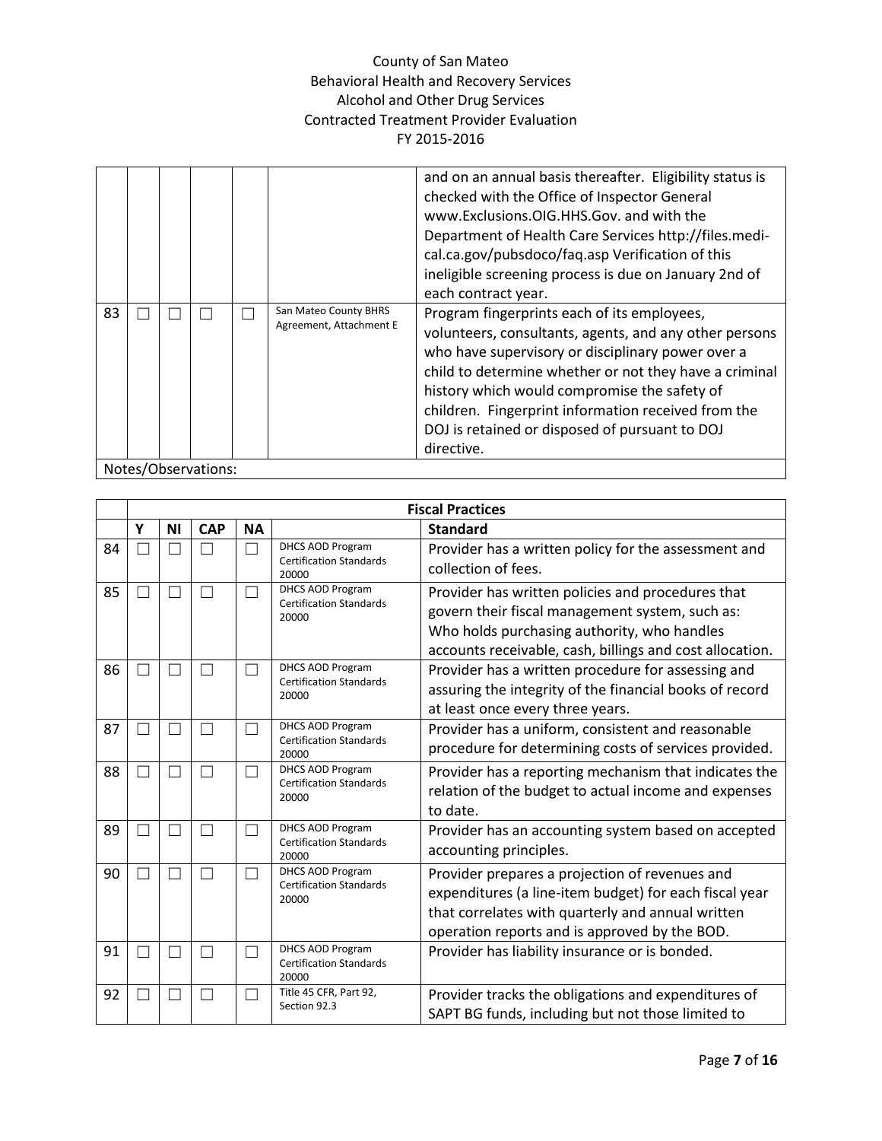|    |  |                     |                                                  | and on an annual basis thereafter. Eligibility status is<br>checked with the Office of Inspector General<br>www.Exclusions.OIG.HHS.Gov. and with the<br>Department of Health Care Services http://files.medi-<br>cal.ca.gov/pubsdoco/faq.asp Verification of this<br>ineligible screening process is due on January 2nd of<br>each contract year.                                           |
|----|--|---------------------|--------------------------------------------------|---------------------------------------------------------------------------------------------------------------------------------------------------------------------------------------------------------------------------------------------------------------------------------------------------------------------------------------------------------------------------------------------|
| 83 |  |                     | San Mateo County BHRS<br>Agreement, Attachment E | Program fingerprints each of its employees,<br>volunteers, consultants, agents, and any other persons<br>who have supervisory or disciplinary power over a<br>child to determine whether or not they have a criminal<br>history which would compromise the safety of<br>children. Fingerprint information received from the<br>DOJ is retained or disposed of pursuant to DOJ<br>directive. |
|    |  | Notes/Observations: |                                                  |                                                                                                                                                                                                                                                                                                                                                                                             |

|    |    |           |            |           |                                                                    | <b>Fiscal Practices</b>                                                                                                                                                                                         |
|----|----|-----------|------------|-----------|--------------------------------------------------------------------|-----------------------------------------------------------------------------------------------------------------------------------------------------------------------------------------------------------------|
|    | Y  | <b>NI</b> | <b>CAP</b> | <b>NA</b> |                                                                    | <b>Standard</b>                                                                                                                                                                                                 |
| 84 |    |           | П          |           | <b>DHCS AOD Program</b><br><b>Certification Standards</b><br>20000 | Provider has a written policy for the assessment and<br>collection of fees.                                                                                                                                     |
| 85 |    |           | П          |           | <b>DHCS AOD Program</b><br><b>Certification Standards</b><br>20000 | Provider has written policies and procedures that<br>govern their fiscal management system, such as:<br>Who holds purchasing authority, who handles<br>accounts receivable, cash, billings and cost allocation. |
| 86 |    |           | П          |           | DHCS AOD Program<br><b>Certification Standards</b><br>20000        | Provider has a written procedure for assessing and<br>assuring the integrity of the financial books of record<br>at least once every three years.                                                               |
| 87 |    |           | П          |           | <b>DHCS AOD Program</b><br><b>Certification Standards</b><br>20000 | Provider has a uniform, consistent and reasonable<br>procedure for determining costs of services provided.                                                                                                      |
| 88 | ×. |           | П          |           | <b>DHCS AOD Program</b><br><b>Certification Standards</b><br>20000 | Provider has a reporting mechanism that indicates the<br>relation of the budget to actual income and expenses<br>to date.                                                                                       |
| 89 | ×. |           | П          |           | <b>DHCS AOD Program</b><br><b>Certification Standards</b><br>20000 | Provider has an accounting system based on accepted<br>accounting principles.                                                                                                                                   |
| 90 | ×. |           | П          |           | <b>DHCS AOD Program</b><br><b>Certification Standards</b><br>20000 | Provider prepares a projection of revenues and<br>expenditures (a line-item budget) for each fiscal year<br>that correlates with quarterly and annual written<br>operation reports and is approved by the BOD.  |
| 91 | Ξ  |           | П          |           | DHCS AOD Program<br><b>Certification Standards</b><br>20000        | Provider has liability insurance or is bonded.                                                                                                                                                                  |
| 92 |    |           |            |           | Title 45 CFR, Part 92,<br>Section 92.3                             | Provider tracks the obligations and expenditures of<br>SAPT BG funds, including but not those limited to                                                                                                        |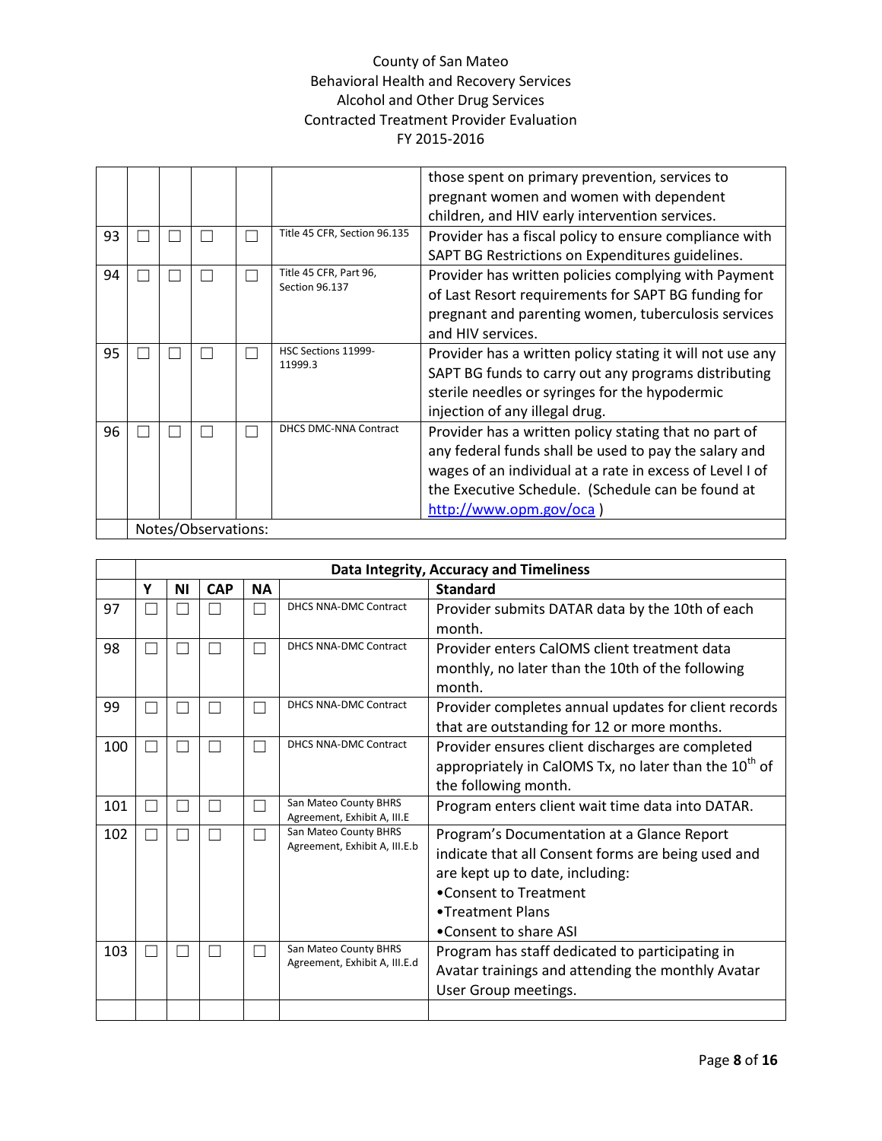| those spent on primary prevention, services to            |
|-----------------------------------------------------------|
|                                                           |
| pregnant women and women with dependent                   |
| children, and HIV early intervention services.            |
| Provider has a fiscal policy to ensure compliance with    |
| SAPT BG Restrictions on Expenditures guidelines.          |
| Provider has written policies complying with Payment      |
| of Last Resort requirements for SAPT BG funding for       |
| pregnant and parenting women, tuberculosis services       |
|                                                           |
| Provider has a written policy stating it will not use any |
| SAPT BG funds to carry out any programs distributing      |
| sterile needles or syringes for the hypodermic            |
|                                                           |
| Provider has a written policy stating that no part of     |
| any federal funds shall be used to pay the salary and     |
| wages of an individual at a rate in excess of Level I of  |
| the Executive Schedule. (Schedule can be found at         |
|                                                           |
|                                                           |
|                                                           |

|     |    | Data Integrity, Accuracy and Timeliness |            |               |                                                      |                                                                   |  |  |  |  |  |
|-----|----|-----------------------------------------|------------|---------------|------------------------------------------------------|-------------------------------------------------------------------|--|--|--|--|--|
|     | Υ  | ΝI                                      | <b>CAP</b> | <b>NA</b>     |                                                      | <b>Standard</b>                                                   |  |  |  |  |  |
| 97  |    |                                         |            |               | <b>DHCS NNA-DMC Contract</b>                         | Provider submits DATAR data by the 10th of each                   |  |  |  |  |  |
|     |    |                                         |            |               |                                                      | month.                                                            |  |  |  |  |  |
| 98  |    |                                         |            |               | DHCS NNA-DMC Contract                                | Provider enters CalOMS client treatment data                      |  |  |  |  |  |
|     |    |                                         |            |               |                                                      | monthly, no later than the 10th of the following                  |  |  |  |  |  |
|     |    |                                         |            |               |                                                      | month.                                                            |  |  |  |  |  |
| 99  | ×. |                                         |            |               | DHCS NNA-DMC Contract                                | Provider completes annual updates for client records              |  |  |  |  |  |
|     |    |                                         |            |               |                                                      | that are outstanding for 12 or more months.                       |  |  |  |  |  |
| 100 | H  |                                         |            | $\mathcal{L}$ | DHCS NNA-DMC Contract                                | Provider ensures client discharges are completed                  |  |  |  |  |  |
|     |    |                                         |            |               |                                                      | appropriately in CalOMS Tx, no later than the 10 <sup>th</sup> of |  |  |  |  |  |
|     |    |                                         |            |               |                                                      | the following month.                                              |  |  |  |  |  |
| 101 | Ш  | $\Box$                                  |            | □             | San Mateo County BHRS                                | Program enters client wait time data into DATAR.                  |  |  |  |  |  |
| 102 | П  |                                         |            | □             | Agreement, Exhibit A, III.E<br>San Mateo County BHRS | Program's Documentation at a Glance Report                        |  |  |  |  |  |
|     |    |                                         |            |               | Agreement, Exhibit A, III.E.b                        | indicate that all Consent forms are being used and                |  |  |  |  |  |
|     |    |                                         |            |               |                                                      | are kept up to date, including:                                   |  |  |  |  |  |
|     |    |                                         |            |               |                                                      | •Consent to Treatment                                             |  |  |  |  |  |
|     |    |                                         |            |               |                                                      | •Treatment Plans                                                  |  |  |  |  |  |
|     |    |                                         |            |               |                                                      | •Consent to share ASI                                             |  |  |  |  |  |
| 103 |    |                                         |            |               | San Mateo County BHRS                                | Program has staff dedicated to participating in                   |  |  |  |  |  |
|     |    |                                         |            |               | Agreement, Exhibit A, III.E.d                        | Avatar trainings and attending the monthly Avatar                 |  |  |  |  |  |
|     |    |                                         |            |               |                                                      | User Group meetings.                                              |  |  |  |  |  |
|     |    |                                         |            |               |                                                      |                                                                   |  |  |  |  |  |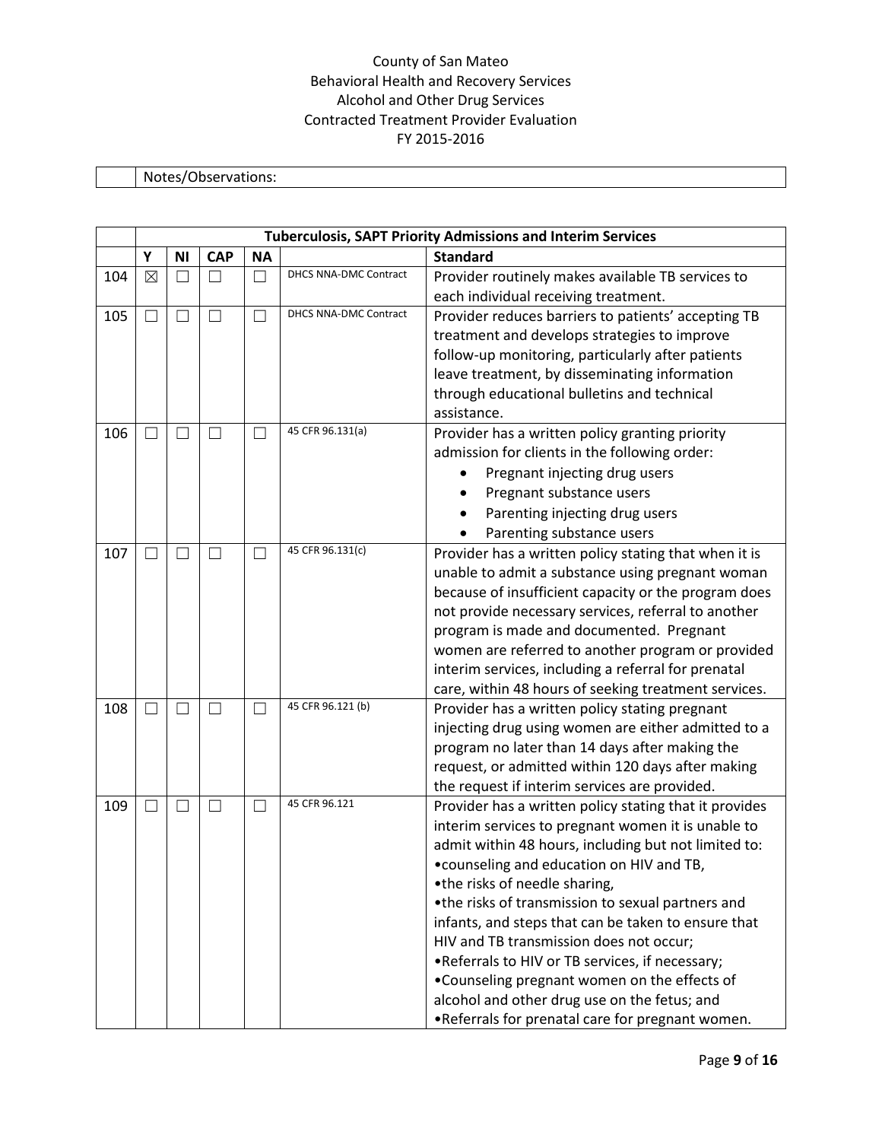# Notes/Observations:

|     |        |                   |               |           |                              | <b>Tuberculosis, SAPT Priority Admissions and Interim Services</b> |
|-----|--------|-------------------|---------------|-----------|------------------------------|--------------------------------------------------------------------|
|     | Υ      | <b>NI</b>         | <b>CAP</b>    | <b>NA</b> |                              | <b>Standard</b>                                                    |
| 104 | ⊠      |                   |               | П         | DHCS NNA-DMC Contract        | Provider routinely makes available TB services to                  |
|     |        |                   |               |           |                              | each individual receiving treatment.                               |
| 105 | $\Box$ | $\Box$            | П             | $\Box$    | <b>DHCS NNA-DMC Contract</b> | Provider reduces barriers to patients' accepting TB                |
|     |        |                   |               |           |                              | treatment and develops strategies to improve                       |
|     |        |                   |               |           |                              | follow-up monitoring, particularly after patients                  |
|     |        |                   |               |           |                              | leave treatment, by disseminating information                      |
|     |        |                   |               |           |                              | through educational bulletins and technical                        |
|     |        |                   |               |           |                              | assistance.                                                        |
| 106 | - 1    | $\vert \ \ \vert$ | $\mathcal{L}$ | П         | 45 CFR 96.131(a)             | Provider has a written policy granting priority                    |
|     |        |                   |               |           |                              | admission for clients in the following order:                      |
|     |        |                   |               |           |                              | Pregnant injecting drug users                                      |
|     |        |                   |               |           |                              | Pregnant substance users                                           |
|     |        |                   |               |           |                              | Parenting injecting drug users                                     |
|     |        |                   |               |           |                              | Parenting substance users                                          |
| 107 |        |                   |               | $\Box$    | 45 CFR 96.131(c)             | Provider has a written policy stating that when it is              |
|     |        |                   |               |           |                              | unable to admit a substance using pregnant woman                   |
|     |        |                   |               |           |                              | because of insufficient capacity or the program does               |
|     |        |                   |               |           |                              | not provide necessary services, referral to another                |
|     |        |                   |               |           |                              | program is made and documented. Pregnant                           |
|     |        |                   |               |           |                              | women are referred to another program or provided                  |
|     |        |                   |               |           |                              | interim services, including a referral for prenatal                |
|     |        |                   |               |           |                              | care, within 48 hours of seeking treatment services.               |
| 108 |        |                   |               | $\Box$    | 45 CFR 96.121 (b)            | Provider has a written policy stating pregnant                     |
|     |        |                   |               |           |                              | injecting drug using women are either admitted to a                |
|     |        |                   |               |           |                              | program no later than 14 days after making the                     |
|     |        |                   |               |           |                              | request, or admitted within 120 days after making                  |
|     |        |                   |               |           |                              | the request if interim services are provided.                      |
| 109 | - 1    | $\vert \ \ \vert$ | $\Box$        | $\Box$    | 45 CFR 96.121                | Provider has a written policy stating that it provides             |
|     |        |                   |               |           |                              | interim services to pregnant women it is unable to                 |
|     |        |                   |               |           |                              | admit within 48 hours, including but not limited to:               |
|     |        |                   |               |           |                              | • counseling and education on HIV and TB,                          |
|     |        |                   |               |           |                              | •the risks of needle sharing,                                      |
|     |        |                   |               |           |                              | •the risks of transmission to sexual partners and                  |
|     |        |                   |               |           |                              | infants, and steps that can be taken to ensure that                |
|     |        |                   |               |           |                              | HIV and TB transmission does not occur;                            |
|     |        |                   |               |           |                              | . Referrals to HIV or TB services, if necessary;                   |
|     |        |                   |               |           |                              | . Counseling pregnant women on the effects of                      |
|     |        |                   |               |           |                              | alcohol and other drug use on the fetus; and                       |
|     |        |                   |               |           |                              | . Referrals for prenatal care for pregnant women.                  |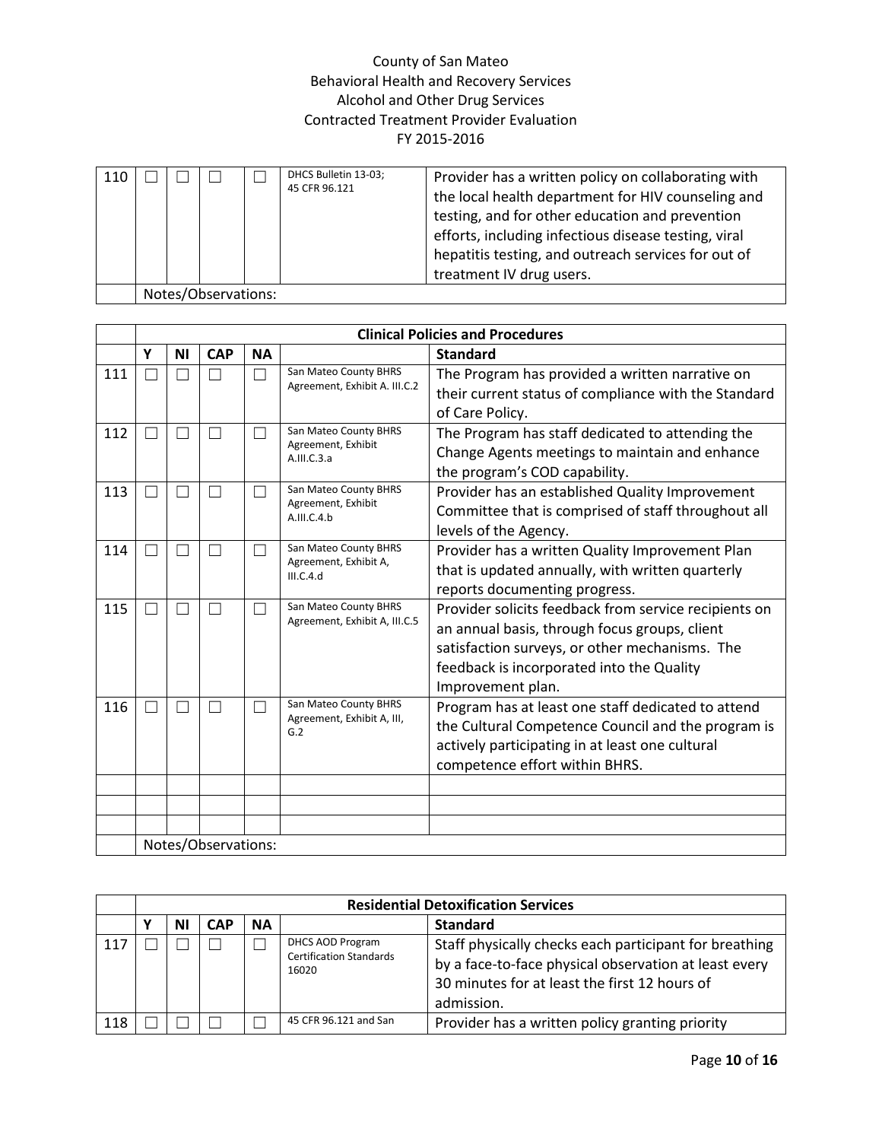| 110 |                     |  |  |  | DHCS Bulletin 13-03;<br>45 CFR 96.121 | Provider has a written policy on collaborating with<br>the local health department for HIV counseling and<br>testing, and for other education and prevention<br>efforts, including infectious disease testing, viral<br>hepatitis testing, and outreach services for out of<br>treatment IV drug users. |  |
|-----|---------------------|--|--|--|---------------------------------------|---------------------------------------------------------------------------------------------------------------------------------------------------------------------------------------------------------------------------------------------------------------------------------------------------------|--|
|     | Notes/Observations: |  |  |  |                                       |                                                                                                                                                                                                                                                                                                         |  |

|     |                          |    |                     |           |                                                             | <b>Clinical Policies and Procedures</b>                                                                                                                                                                                    |
|-----|--------------------------|----|---------------------|-----------|-------------------------------------------------------------|----------------------------------------------------------------------------------------------------------------------------------------------------------------------------------------------------------------------------|
|     | Υ                        | ΝI | <b>CAP</b>          | <b>NA</b> |                                                             | <b>Standard</b>                                                                                                                                                                                                            |
| 111 | Г                        |    |                     | ×         | San Mateo County BHRS<br>Agreement, Exhibit A. III.C.2      | The Program has provided a written narrative on<br>their current status of compliance with the Standard<br>of Care Policy.                                                                                                 |
| 112 | $\overline{\phantom{a}}$ |    |                     | ×.        | San Mateo County BHRS<br>Agreement, Exhibit<br>A.III.C.3.a  | The Program has staff dedicated to attending the<br>Change Agents meetings to maintain and enhance<br>the program's COD capability.                                                                                        |
| 113 | П                        |    |                     | ٦         | San Mateo County BHRS<br>Agreement, Exhibit<br>A.III.C.4.b  | Provider has an established Quality Improvement<br>Committee that is comprised of staff throughout all<br>levels of the Agency.                                                                                            |
| 114 | - 1                      |    |                     |           | San Mateo County BHRS<br>Agreement, Exhibit A,<br>III.C.4.d | Provider has a written Quality Improvement Plan<br>that is updated annually, with written quarterly<br>reports documenting progress.                                                                                       |
| 115 | П                        |    |                     | ×         | San Mateo County BHRS<br>Agreement, Exhibit A, III.C.5      | Provider solicits feedback from service recipients on<br>an annual basis, through focus groups, client<br>satisfaction surveys, or other mechanisms. The<br>feedback is incorporated into the Quality<br>Improvement plan. |
| 116 | $\mathcal{L}$            |    |                     | П         | San Mateo County BHRS<br>Agreement, Exhibit A, III,<br>G.2  | Program has at least one staff dedicated to attend<br>the Cultural Competence Council and the program is<br>actively participating in at least one cultural<br>competence effort within BHRS.                              |
|     |                          |    |                     |           |                                                             |                                                                                                                                                                                                                            |
|     |                          |    |                     |           |                                                             |                                                                                                                                                                                                                            |
|     |                          |    |                     |           |                                                             |                                                                                                                                                                                                                            |
|     |                          |    | Notes/Observations: |           |                                                             |                                                                                                                                                                                                                            |

|     | <b>Residential Detoxification Services</b> |            |           |                                                             |                                                                                                                                                                                |  |  |  |  |
|-----|--------------------------------------------|------------|-----------|-------------------------------------------------------------|--------------------------------------------------------------------------------------------------------------------------------------------------------------------------------|--|--|--|--|
|     | ΝI                                         | <b>CAP</b> | <b>NA</b> |                                                             | <b>Standard</b>                                                                                                                                                                |  |  |  |  |
| 117 |                                            |            |           | DHCS AOD Program<br><b>Certification Standards</b><br>16020 | Staff physically checks each participant for breathing<br>by a face-to-face physical observation at least every<br>30 minutes for at least the first 12 hours of<br>admission. |  |  |  |  |
| 118 |                                            |            |           | 45 CFR 96.121 and San                                       | Provider has a written policy granting priority                                                                                                                                |  |  |  |  |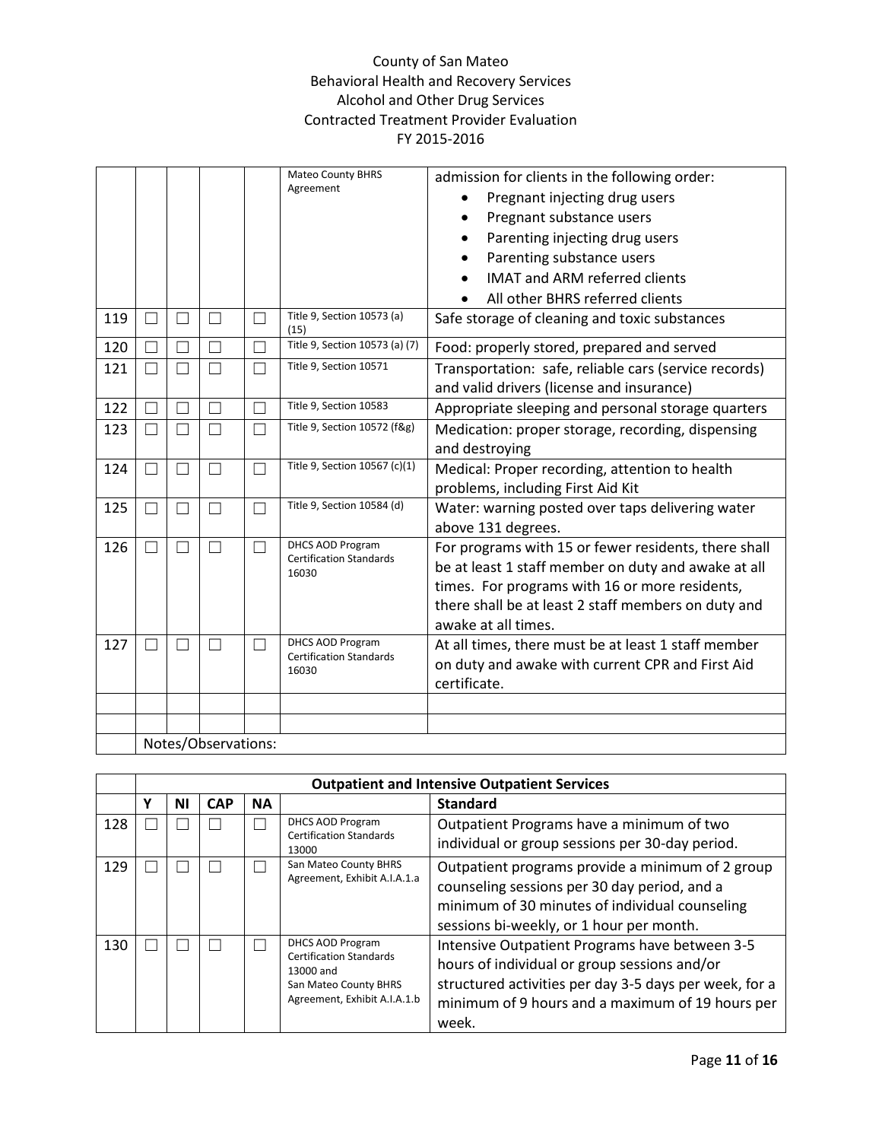|     |                          |        |                     |                          | <b>Mateo County BHRS</b><br>Agreement                     | admission for clients in the following order:         |
|-----|--------------------------|--------|---------------------|--------------------------|-----------------------------------------------------------|-------------------------------------------------------|
|     |                          |        |                     |                          |                                                           | Pregnant injecting drug users                         |
|     |                          |        |                     |                          |                                                           | Pregnant substance users<br>$\bullet$                 |
|     |                          |        |                     |                          |                                                           | Parenting injecting drug users                        |
|     |                          |        |                     |                          |                                                           | Parenting substance users                             |
|     |                          |        |                     |                          |                                                           | <b>IMAT and ARM referred clients</b>                  |
|     |                          |        |                     |                          |                                                           | All other BHRS referred clients                       |
| 119 | П                        |        |                     |                          | Title 9, Section 10573 (a)<br>(15)                        | Safe storage of cleaning and toxic substances         |
| 120 | $\overline{\phantom{0}}$ |        |                     |                          | Title 9, Section 10573 (a) (7)                            | Food: properly stored, prepared and served            |
| 121 | П                        |        |                     |                          | Title 9, Section 10571                                    | Transportation: safe, reliable cars (service records) |
|     |                          |        |                     |                          |                                                           | and valid drivers (license and insurance)             |
| 122 | П                        |        |                     |                          | Title 9, Section 10583                                    | Appropriate sleeping and personal storage quarters    |
| 123 | П                        |        |                     | Π                        | Title 9, Section 10572 (f&g)                              | Medication: proper storage, recording, dispensing     |
|     |                          |        |                     |                          |                                                           | and destroying                                        |
| 124 | П                        | l.     | $\Box$              | $\overline{\phantom{0}}$ | Title 9, Section 10567 (c)(1)                             | Medical: Proper recording, attention to health        |
|     |                          |        |                     |                          |                                                           | problems, including First Aid Kit                     |
| 125 | П                        | $\Box$ | $\Box$              | T.                       | Title 9, Section 10584 (d)                                | Water: warning posted over taps delivering water      |
|     |                          |        |                     |                          |                                                           | above 131 degrees.                                    |
| 126 | П                        | $\Box$ | П                   | □                        | DHCS AOD Program<br><b>Certification Standards</b>        | For programs with 15 or fewer residents, there shall  |
|     |                          |        |                     |                          | 16030                                                     | be at least 1 staff member on duty and awake at all   |
|     |                          |        |                     |                          |                                                           | times. For programs with 16 or more residents,        |
|     |                          |        |                     |                          |                                                           | there shall be at least 2 staff members on duty and   |
|     |                          |        |                     |                          |                                                           | awake at all times.                                   |
| 127 | $\overline{\phantom{a}}$ |        |                     |                          | <b>DHCS AOD Program</b><br><b>Certification Standards</b> | At all times, there must be at least 1 staff member   |
|     |                          |        |                     |                          | 16030                                                     | on duty and awake with current CPR and First Aid      |
|     |                          |        |                     |                          |                                                           | certificate.                                          |
|     |                          |        |                     |                          |                                                           |                                                       |
|     |                          |        |                     |                          |                                                           |                                                       |
|     |                          |        | Notes/Observations: |                          |                                                           |                                                       |

|     |   | <b>Outpatient and Intensive Outpatient Services</b> |            |           |                                                                                                                          |                                                                                                                                                                                                                       |  |  |  |
|-----|---|-----------------------------------------------------|------------|-----------|--------------------------------------------------------------------------------------------------------------------------|-----------------------------------------------------------------------------------------------------------------------------------------------------------------------------------------------------------------------|--|--|--|
|     | v | ΝI                                                  | <b>CAP</b> | <b>NA</b> |                                                                                                                          | <b>Standard</b>                                                                                                                                                                                                       |  |  |  |
| 128 |   |                                                     |            |           | DHCS AOD Program<br><b>Certification Standards</b><br>13000                                                              | Outpatient Programs have a minimum of two<br>individual or group sessions per 30-day period.                                                                                                                          |  |  |  |
| 129 |   |                                                     |            |           | San Mateo County BHRS<br>Agreement, Exhibit A.I.A.1.a                                                                    | Outpatient programs provide a minimum of 2 group<br>counseling sessions per 30 day period, and a<br>minimum of 30 minutes of individual counseling<br>sessions bi-weekly, or 1 hour per month.                        |  |  |  |
| 130 |   |                                                     |            |           | DHCS AOD Program<br><b>Certification Standards</b><br>13000 and<br>San Mateo County BHRS<br>Agreement, Exhibit A.I.A.1.b | Intensive Outpatient Programs have between 3-5<br>hours of individual or group sessions and/or<br>structured activities per day 3-5 days per week, for a<br>minimum of 9 hours and a maximum of 19 hours per<br>week. |  |  |  |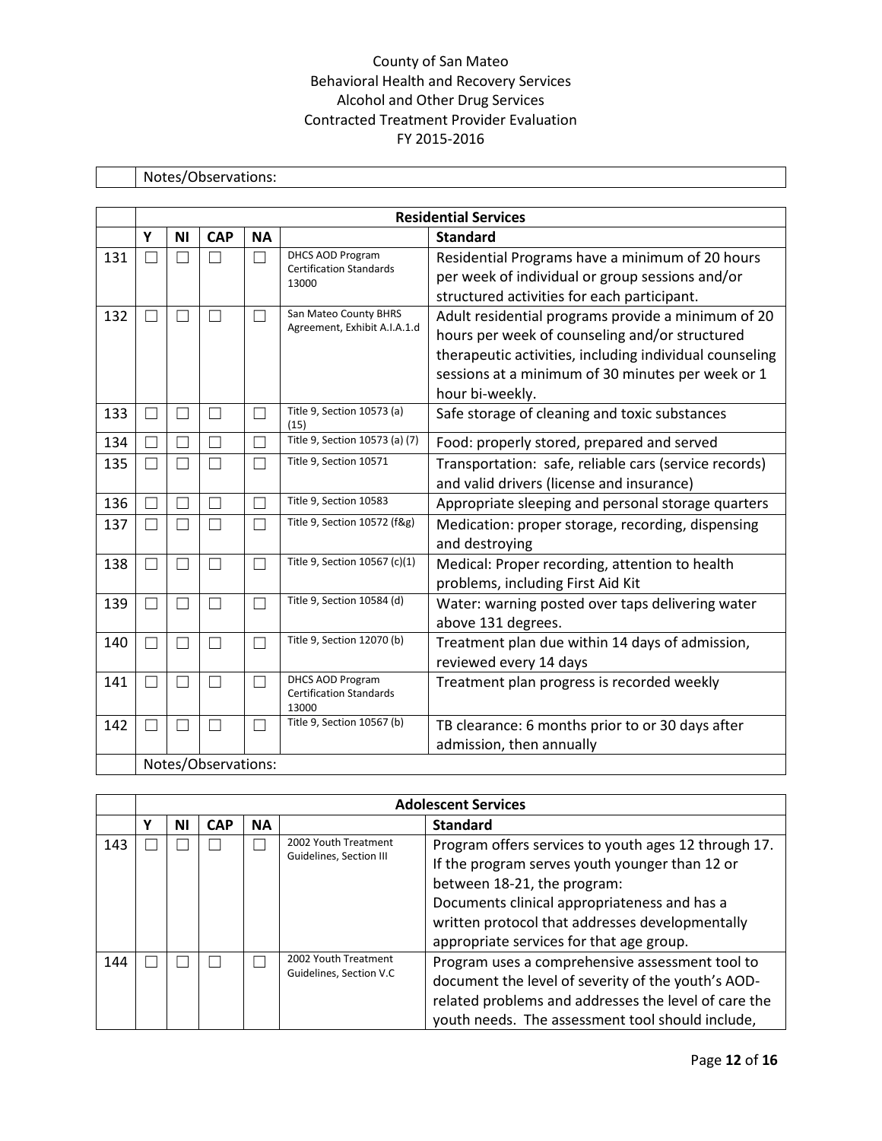# Notes/Observations:

|     | <b>Residential Services</b> |              |                     |           |                                                           |                                                         |  |  |  |  |
|-----|-----------------------------|--------------|---------------------|-----------|-----------------------------------------------------------|---------------------------------------------------------|--|--|--|--|
|     | Y                           | <b>NI</b>    | <b>CAP</b>          | <b>NA</b> |                                                           | <b>Standard</b>                                         |  |  |  |  |
| 131 | П                           |              | $\vert \ \ \vert$   | П         | <b>DHCS AOD Program</b><br><b>Certification Standards</b> | Residential Programs have a minimum of 20 hours         |  |  |  |  |
|     |                             |              |                     |           | 13000                                                     | per week of individual or group sessions and/or         |  |  |  |  |
|     |                             |              |                     |           | San Mateo County BHRS                                     | structured activities for each participant.             |  |  |  |  |
| 132 | ٦                           |              |                     | ┐         | Agreement, Exhibit A.I.A.1.d                              | Adult residential programs provide a minimum of 20      |  |  |  |  |
|     |                             |              |                     |           |                                                           | hours per week of counseling and/or structured          |  |  |  |  |
|     |                             |              |                     |           |                                                           | therapeutic activities, including individual counseling |  |  |  |  |
|     |                             |              |                     |           |                                                           | sessions at a minimum of 30 minutes per week or 1       |  |  |  |  |
|     |                             |              |                     |           |                                                           | hour bi-weekly.                                         |  |  |  |  |
| 133 | $\Box$                      | П            | П                   | П         | Title 9, Section 10573 (a)<br>(15)                        | Safe storage of cleaning and toxic substances           |  |  |  |  |
| 134 | $\Box$                      |              |                     |           | Title 9, Section 10573 (a) (7)                            | Food: properly stored, prepared and served              |  |  |  |  |
| 135 | П                           |              | ٦                   |           | Title 9, Section 10571                                    | Transportation: safe, reliable cars (service records)   |  |  |  |  |
|     |                             |              |                     |           |                                                           | and valid drivers (license and insurance)               |  |  |  |  |
| 136 |                             |              |                     |           | Title 9, Section 10583                                    | Appropriate sleeping and personal storage quarters      |  |  |  |  |
| 137 | $\Box$                      | $\Box$       | $\vert \ \ \vert$   |           | Title 9, Section 10572 (f&g)                              | Medication: proper storage, recording, dispensing       |  |  |  |  |
|     |                             |              |                     |           |                                                           | and destroying                                          |  |  |  |  |
| 138 | □                           |              |                     |           | Title 9, Section 10567 (c)(1)                             | Medical: Proper recording, attention to health          |  |  |  |  |
|     |                             |              |                     |           |                                                           | problems, including First Aid Kit                       |  |  |  |  |
| 139 | П                           | $\mathsf{L}$ | П                   | ┓         | Title 9, Section 10584 (d)                                | Water: warning posted over taps delivering water        |  |  |  |  |
|     |                             |              |                     |           |                                                           | above 131 degrees.                                      |  |  |  |  |
| 140 | $\Box$                      | П            | П                   | П         | Title 9, Section 12070 (b)                                | Treatment plan due within 14 days of admission,         |  |  |  |  |
|     |                             |              |                     |           |                                                           | reviewed every 14 days                                  |  |  |  |  |
| 141 | ┐                           |              |                     | ┐         | DHCS AOD Program<br><b>Certification Standards</b>        | Treatment plan progress is recorded weekly              |  |  |  |  |
|     |                             |              |                     |           | 13000                                                     |                                                         |  |  |  |  |
| 142 | ┓                           |              |                     | . I       | Title 9, Section 10567 (b)                                | TB clearance: 6 months prior to or 30 days after        |  |  |  |  |
|     |                             |              |                     |           |                                                           | admission, then annually                                |  |  |  |  |
|     |                             |              | Notes/Observations: |           |                                                           |                                                         |  |  |  |  |

|     |   | <b>Adolescent Services</b> |            |           |                                                 |                                                                                                                                                                                                                                                                                      |  |  |  |
|-----|---|----------------------------|------------|-----------|-------------------------------------------------|--------------------------------------------------------------------------------------------------------------------------------------------------------------------------------------------------------------------------------------------------------------------------------------|--|--|--|
|     | ν | ΝI                         | <b>CAP</b> | <b>NA</b> |                                                 | <b>Standard</b>                                                                                                                                                                                                                                                                      |  |  |  |
| 143 |   |                            |            |           | 2002 Youth Treatment<br>Guidelines, Section III | Program offers services to youth ages 12 through 17.<br>If the program serves youth younger than 12 or<br>between 18-21, the program:<br>Documents clinical appropriateness and has a<br>written protocol that addresses developmentally<br>appropriate services for that age group. |  |  |  |
| 144 |   |                            |            |           | 2002 Youth Treatment<br>Guidelines, Section V.C | Program uses a comprehensive assessment tool to<br>document the level of severity of the youth's AOD-<br>related problems and addresses the level of care the<br>youth needs. The assessment tool should include,                                                                    |  |  |  |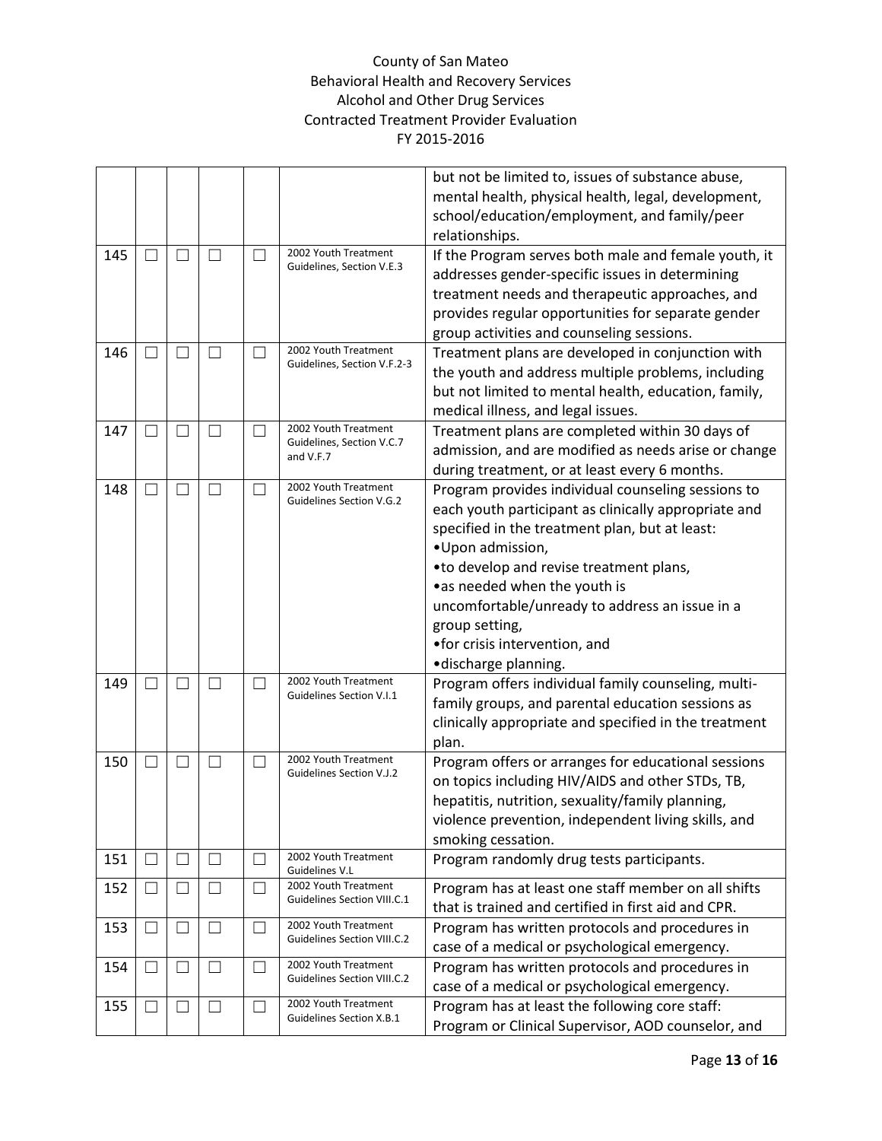|     |                   |              |              |                          |                                                     | but not be limited to, issues of substance abuse,<br>mental health, physical health, legal, development, |
|-----|-------------------|--------------|--------------|--------------------------|-----------------------------------------------------|----------------------------------------------------------------------------------------------------------|
|     |                   |              |              |                          |                                                     | school/education/employment, and family/peer<br>relationships.                                           |
| 145 | $\vert \ \ \vert$ |              | $\Box$       |                          | 2002 Youth Treatment                                | If the Program serves both male and female youth, it                                                     |
|     |                   |              |              |                          | Guidelines, Section V.E.3                           | addresses gender-specific issues in determining                                                          |
|     |                   |              |              |                          |                                                     | treatment needs and therapeutic approaches, and                                                          |
|     |                   |              |              |                          |                                                     | provides regular opportunities for separate gender                                                       |
|     |                   |              |              |                          |                                                     | group activities and counseling sessions.                                                                |
| 146 | $\vert \ \ \vert$ |              |              |                          | 2002 Youth Treatment                                | Treatment plans are developed in conjunction with                                                        |
|     |                   |              |              |                          | Guidelines, Section V.F.2-3                         | the youth and address multiple problems, including                                                       |
|     |                   |              |              |                          |                                                     | but not limited to mental health, education, family,                                                     |
|     |                   |              |              |                          |                                                     | medical illness, and legal issues.                                                                       |
| 147 | $\vert \ \ \vert$ |              |              | - 1                      | 2002 Youth Treatment                                | Treatment plans are completed within 30 days of                                                          |
|     |                   |              |              |                          | Guidelines, Section V.C.7<br>and V.F.7              | admission, and are modified as needs arise or change                                                     |
|     |                   |              |              |                          |                                                     | during treatment, or at least every 6 months.                                                            |
| 148 | П                 |              | $\mathbf{L}$ | ×                        | 2002 Youth Treatment                                | Program provides individual counseling sessions to                                                       |
|     |                   |              |              |                          | <b>Guidelines Section V.G.2</b>                     | each youth participant as clinically appropriate and                                                     |
|     |                   |              |              |                          |                                                     | specified in the treatment plan, but at least:                                                           |
|     |                   |              |              |                          |                                                     | •Upon admission,                                                                                         |
|     |                   |              |              |                          |                                                     | • to develop and revise treatment plans,                                                                 |
|     |                   |              |              |                          |                                                     | •as needed when the youth is                                                                             |
|     |                   |              |              |                          |                                                     | uncomfortable/unready to address an issue in a                                                           |
|     |                   |              |              |                          |                                                     | group setting,                                                                                           |
|     |                   |              |              |                          |                                                     | •for crisis intervention, and                                                                            |
|     |                   |              |              |                          |                                                     | ·discharge planning.                                                                                     |
| 149 | $\vert \ \ \vert$ |              | $\Box$       | П                        | 2002 Youth Treatment                                | Program offers individual family counseling, multi-                                                      |
|     |                   |              |              |                          | Guidelines Section V.I.1                            | family groups, and parental education sessions as                                                        |
|     |                   |              |              |                          |                                                     | clinically appropriate and specified in the treatment                                                    |
|     |                   |              |              |                          |                                                     | plan.                                                                                                    |
| 150 | $\Box$            |              | $\mathbf{L}$ | П                        | 2002 Youth Treatment                                | Program offers or arranges for educational sessions                                                      |
|     |                   |              |              |                          | Guidelines Section V.J.2                            | on topics including HIV/AIDS and other STDs, TB,                                                         |
|     |                   |              |              |                          |                                                     | hepatitis, nutrition, sexuality/family planning,                                                         |
|     |                   |              |              |                          |                                                     | violence prevention, independent living skills, and                                                      |
|     |                   |              |              |                          |                                                     | smoking cessation.                                                                                       |
| 151 | $\Box$            | $\mathbf{I}$ | $\Box$       | $\overline{\phantom{a}}$ | 2002 Youth Treatment<br>Guidelines V.L              | Program randomly drug tests participants.                                                                |
| 152 | $\Box$            |              | $\Box$       | H                        | 2002 Youth Treatment<br>Guidelines Section VIII.C.1 | Program has at least one staff member on all shifts                                                      |
|     |                   |              |              |                          |                                                     | that is trained and certified in first aid and CPR.                                                      |
| 153 | $\Box$            |              | ப            | $\overline{\phantom{a}}$ | 2002 Youth Treatment<br>Guidelines Section VIII.C.2 | Program has written protocols and procedures in                                                          |
|     |                   |              |              |                          |                                                     | case of a medical or psychological emergency.                                                            |
| 154 | $\vert \ \ \vert$ | Ш            | □            | $\vert \ \ \vert$        | 2002 Youth Treatment<br>Guidelines Section VIII.C.2 | Program has written protocols and procedures in                                                          |
|     |                   |              |              |                          |                                                     | case of a medical or psychological emergency.                                                            |
| 155 | $\Box$            |              | LI           | H                        | 2002 Youth Treatment                                | Program has at least the following core staff:                                                           |
|     |                   |              |              |                          | Guidelines Section X.B.1                            | Program or Clinical Supervisor, AOD counselor, and                                                       |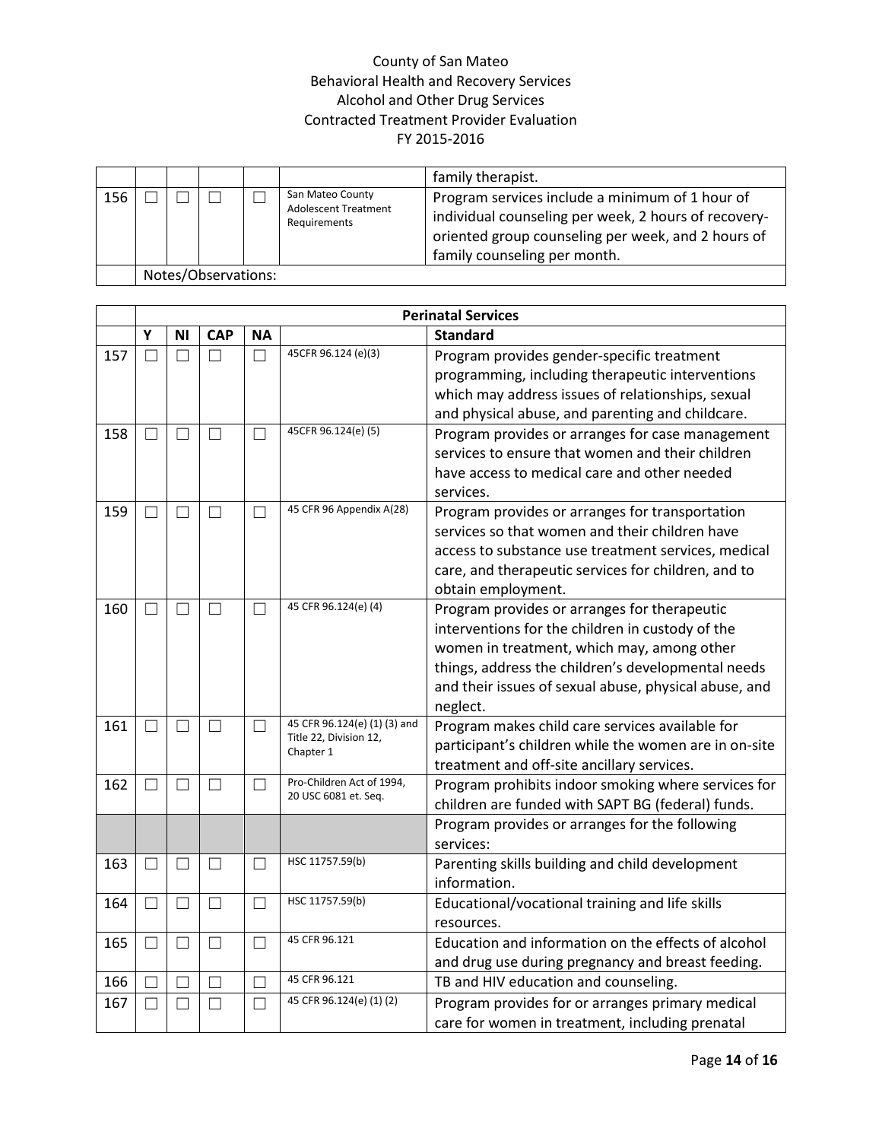|     |  |                     |                                                                 | family therapist.                                                                                                                                                                             |
|-----|--|---------------------|-----------------------------------------------------------------|-----------------------------------------------------------------------------------------------------------------------------------------------------------------------------------------------|
| 156 |  |                     | San Mateo County<br><b>Adolescent Treatment</b><br>Requirements | Program services include a minimum of 1 hour of<br>individual counseling per week, 2 hours of recovery-<br>oriented group counseling per week, and 2 hours of<br>family counseling per month. |
|     |  | Notes/Observations: |                                                                 |                                                                                                                                                                                               |

|     |        | <b>Perinatal Services</b> |            |           |                                                                     |                                                                                                                                                                                                                                                                           |
|-----|--------|---------------------------|------------|-----------|---------------------------------------------------------------------|---------------------------------------------------------------------------------------------------------------------------------------------------------------------------------------------------------------------------------------------------------------------------|
|     | Y      | ΝI                        | <b>CAP</b> | <b>NA</b> |                                                                     | <b>Standard</b>                                                                                                                                                                                                                                                           |
| 157 | П      | П                         | П          | $\Box$    | 45CFR 96.124 (e)(3)                                                 | Program provides gender-specific treatment<br>programming, including therapeutic interventions<br>which may address issues of relationships, sexual<br>and physical abuse, and parenting and childcare.                                                                   |
| 158 | $\Box$ | $\Box$                    | $\Box$     | $\Box$    | 45CFR 96.124(e) (5)                                                 | Program provides or arranges for case management<br>services to ensure that women and their children<br>have access to medical care and other needed<br>services.                                                                                                         |
| 159 | П      | $\Box$                    | $\Box$     | $\Box$    | 45 CFR 96 Appendix A(28)                                            | Program provides or arranges for transportation<br>services so that women and their children have<br>access to substance use treatment services, medical<br>care, and therapeutic services for children, and to<br>obtain employment.                                     |
| 160 | П      | П                         | П          | П         | 45 CFR 96.124(e) (4)                                                | Program provides or arranges for therapeutic<br>interventions for the children in custody of the<br>women in treatment, which may, among other<br>things, address the children's developmental needs<br>and their issues of sexual abuse, physical abuse, and<br>neglect. |
| 161 | П      | П                         | П          | П         | 45 CFR 96.124(e) (1) (3) and<br>Title 22, Division 12,<br>Chapter 1 | Program makes child care services available for<br>participant's children while the women are in on-site<br>treatment and off-site ancillary services.                                                                                                                    |
| 162 | П      | П                         | $\Box$     | П         | Pro-Children Act of 1994,<br>20 USC 6081 et. Seq.                   | Program prohibits indoor smoking where services for<br>children are funded with SAPT BG (federal) funds.                                                                                                                                                                  |
|     |        |                           |            |           |                                                                     | Program provides or arranges for the following<br>services:                                                                                                                                                                                                               |
| 163 | П      | П                         | П          | $\Box$    | HSC 11757.59(b)                                                     | Parenting skills building and child development<br>information.                                                                                                                                                                                                           |
| 164 | П      | П                         | П          | $\Box$    | HSC 11757.59(b)                                                     | Educational/vocational training and life skills<br>resources.                                                                                                                                                                                                             |
| 165 | $\Box$ | $\vert \ \ \vert$         | $\Box$     | $\Box$    | 45 CFR 96.121                                                       | Education and information on the effects of alcohol<br>and drug use during pregnancy and breast feeding.                                                                                                                                                                  |
| 166 |        |                           |            | $\Box$    | 45 CFR 96.121                                                       | TB and HIV education and counseling.                                                                                                                                                                                                                                      |
| 167 | П      | П                         | П          | $\Box$    | 45 CFR 96.124(e) (1) (2)                                            | Program provides for or arranges primary medical<br>care for women in treatment, including prenatal                                                                                                                                                                       |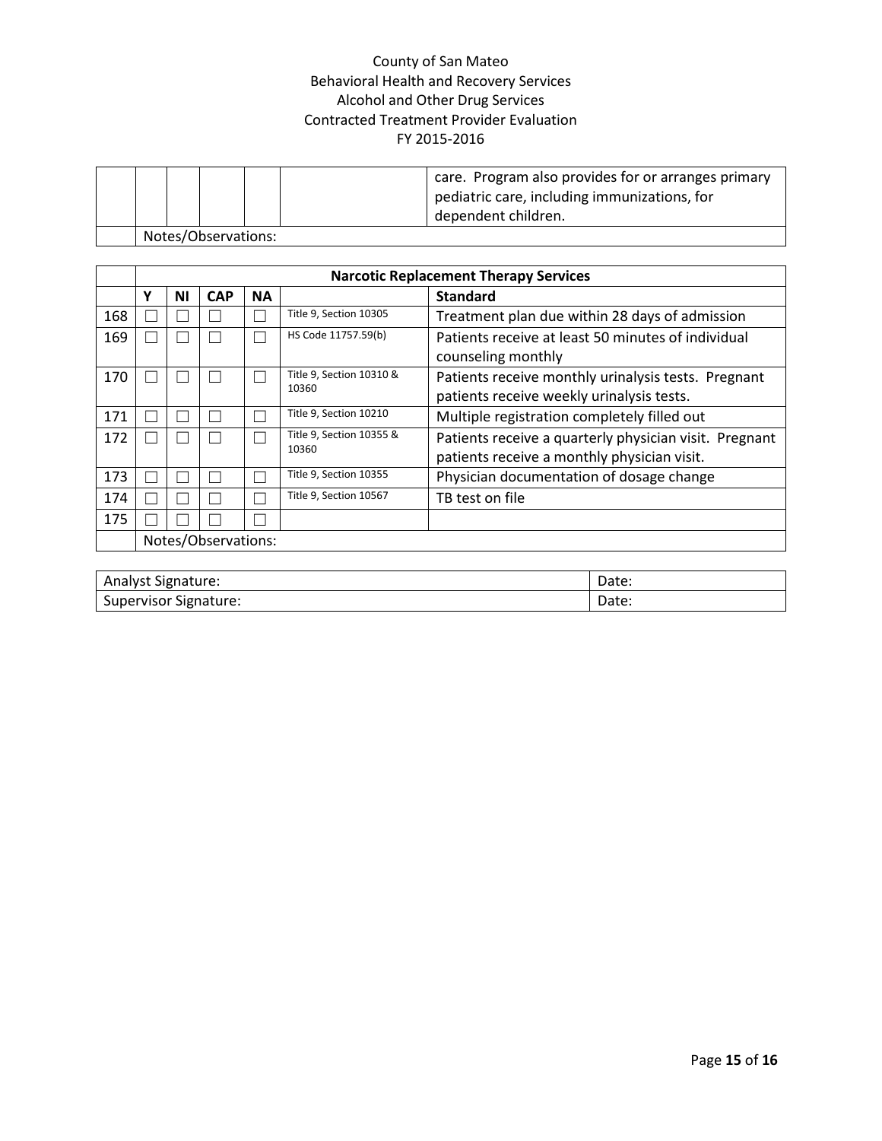|  |                     |  | care. Program also provides for or arranges primary<br>pediatric care, including immunizations, for<br>dependent children. |
|--|---------------------|--|----------------------------------------------------------------------------------------------------------------------------|
|  | Notes/Observations: |  |                                                                                                                            |

|     |                     | <b>Narcotic Replacement Therapy Services</b> |            |           |                          |                                                        |  |
|-----|---------------------|----------------------------------------------|------------|-----------|--------------------------|--------------------------------------------------------|--|
|     | γ                   | ΝI                                           | <b>CAP</b> | <b>NA</b> |                          | <b>Standard</b>                                        |  |
| 168 |                     |                                              |            |           | Title 9, Section 10305   | Treatment plan due within 28 days of admission         |  |
| 169 |                     |                                              |            |           | HS Code 11757.59(b)      | Patients receive at least 50 minutes of individual     |  |
|     |                     |                                              |            |           |                          | counseling monthly                                     |  |
| 170 |                     |                                              |            |           | Title 9, Section 10310 & | Patients receive monthly urinalysis tests. Pregnant    |  |
|     |                     |                                              |            |           | 10360                    | patients receive weekly urinalysis tests.              |  |
| 171 |                     |                                              |            |           | Title 9, Section 10210   | Multiple registration completely filled out            |  |
| 172 |                     |                                              |            |           | Title 9, Section 10355 & | Patients receive a quarterly physician visit. Pregnant |  |
|     |                     |                                              |            |           | 10360                    | patients receive a monthly physician visit.            |  |
| 173 |                     |                                              |            |           | Title 9, Section 10355   | Physician documentation of dosage change               |  |
| 174 |                     |                                              |            |           | Title 9, Section 10567   | TB test on file                                        |  |
| 175 |                     |                                              |            |           |                          |                                                        |  |
|     | Notes/Observations: |                                              |            |           |                          |                                                        |  |

| Analyst Signature:               | Date: |
|----------------------------------|-------|
| --<br>Supervisor<br>* Signature: | Date: |